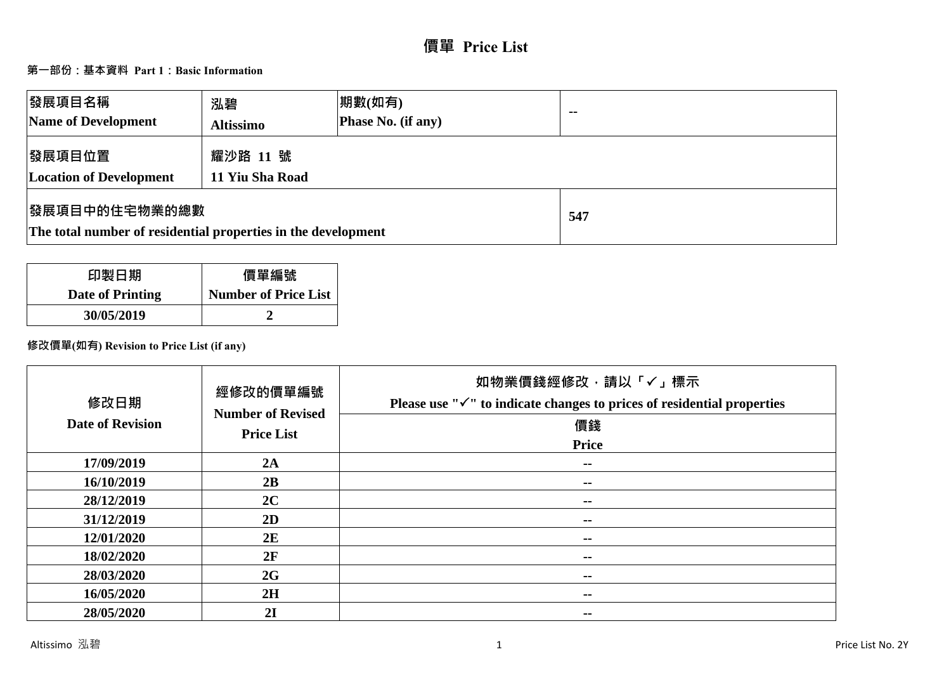# **價單 Price List**

# **第一部份:基本資料 Part 1:Basic Information**

| 發展項目名稱<br>Name of Development                                                          | 泓碧<br><b>Altissimo</b>      | 期數(如有)<br><b>Phase No. (if any)</b> | $-$ |
|----------------------------------------------------------------------------------------|-----------------------------|-------------------------------------|-----|
| 發展項目位置<br><b>Location of Development</b>                                               | 耀沙路 11 號<br>11 Yiu Sha Road |                                     |     |
| <b> 發展項目中的住宅物業的總數</b><br>The total number of residential properties in the development |                             | 547                                 |     |

| 印製日期             | 價單編號                        |
|------------------|-----------------------------|
| Date of Printing | <b>Number of Price List</b> |
| 30/05/2019       |                             |

# **修改價單(如有) Revision to Price List (if any)**

| 修改日期<br><b>Date of Revision</b> | 經修改的價單編號<br><b>Number of Revised</b><br><b>Price List</b> | 如物業價錢經修改,請以「✓」標示<br>Please use " $\checkmark$ " to indicate changes to prices of residential properties<br>價錢<br><b>Price</b> |
|---------------------------------|-----------------------------------------------------------|-------------------------------------------------------------------------------------------------------------------------------|
| 17/09/2019                      | 2A                                                        | $\sim$                                                                                                                        |
| 16/10/2019                      | 2B                                                        | $\sim$ $-$                                                                                                                    |
| 28/12/2019                      | 2C                                                        | $\sim$                                                                                                                        |
| 31/12/2019                      | 2D                                                        | $\sim$ $-$                                                                                                                    |
| 12/01/2020                      | 2E                                                        | --                                                                                                                            |
| 18/02/2020                      | 2F                                                        | $\sim$ $-$                                                                                                                    |
| 28/03/2020                      | 2G                                                        | $\sim$ $-$                                                                                                                    |
| 16/05/2020                      | 2H                                                        | $\sim$ $-$                                                                                                                    |
| 28/05/2020                      | 2I                                                        | --                                                                                                                            |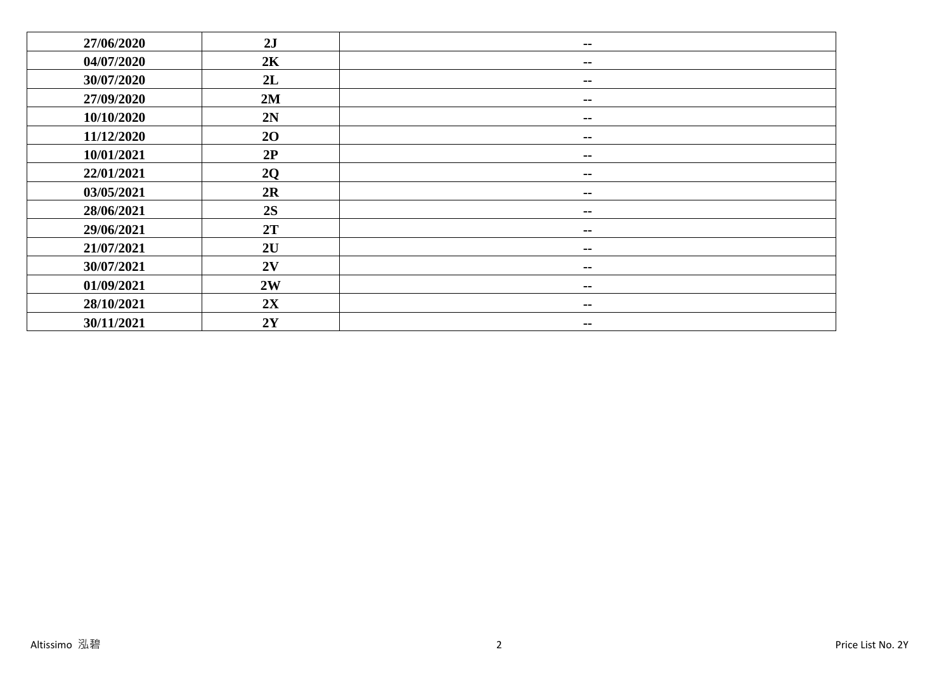| 27/06/2020 | 2J             | $\sim$ $-$    |
|------------|----------------|---------------|
| 04/07/2020 | 2K             | $\sim$ $-$    |
| 30/07/2020 | 2L             | $\sim$        |
| 27/09/2020 | 2M             | --            |
| 10/10/2020 | 2N             | --            |
| 11/12/2020 | 2 <sub>O</sub> | --            |
| 10/01/2021 | 2P             | $\sim$ $-$    |
| 22/01/2021 | 2Q             | $\sim$ $-$    |
| 03/05/2021 | 2R             | $\sim$ $-$    |
| 28/06/2021 | 2S             | --            |
| 29/06/2021 | 2T             | $\sim$ $-$    |
| 21/07/2021 | 2U             | $\sim$ $-$    |
| 30/07/2021 | 2V             | --            |
| 01/09/2021 | 2W             | --            |
| 28/10/2021 | 2X             | $\sim$ $-$    |
| 30/11/2021 | $2{\bf Y}$     | $\sim$ $\sim$ |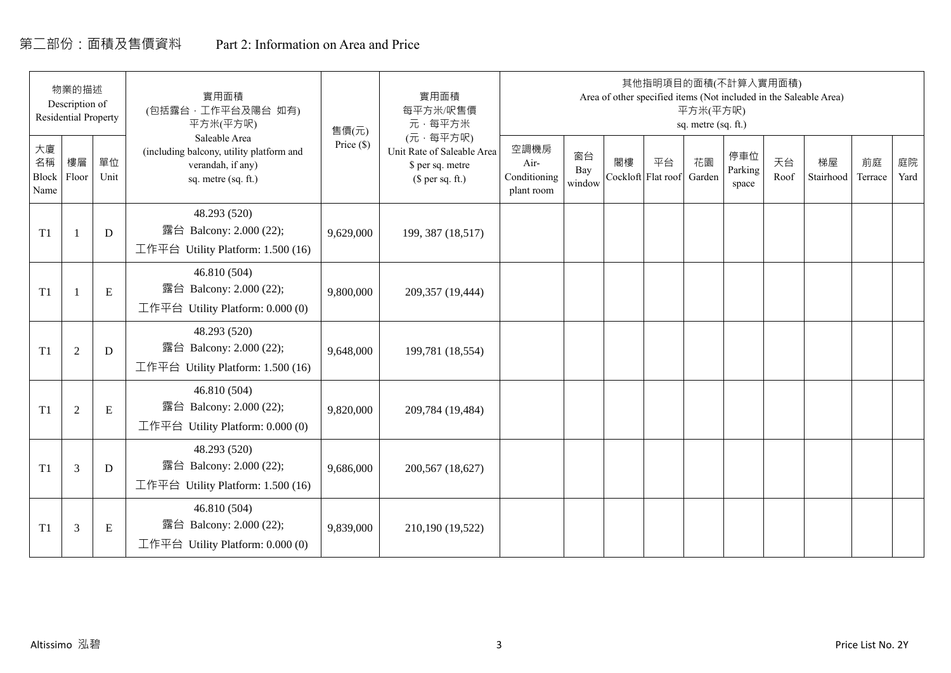# 第二部份:面積及售價資料 Part 2: Information on Area and Price

|                           | 物業的描述<br>Description of<br><b>Residential Property</b> |            | 實用面積<br>(包括露台,工作平台及陽台 如有)<br>平方米(平方呎)                                                                 | 售價(元)      | 實用面積<br>每平方米/呎售價<br>元·每平方米                                                     |                                            |                     |    |                          | 平方米(平方呎)<br>sq. metre (sq. ft.) | 其他指明項目的面積(不計算入實用面積)     |            | Area of other specified items (Not included in the Saleable Area) |               |            |
|---------------------------|--------------------------------------------------------|------------|-------------------------------------------------------------------------------------------------------|------------|--------------------------------------------------------------------------------|--------------------------------------------|---------------------|----|--------------------------|---------------------------------|-------------------------|------------|-------------------------------------------------------------------|---------------|------------|
| 大廈<br>名稱<br>Block<br>Name | 樓層<br>Floor                                            | 單位<br>Unit | Saleable Area<br>(including balcony, utility platform and<br>verandah, if any)<br>sq. metre (sq. ft.) | Price (\$) | (元·每平方呎)<br>Unit Rate of Saleable Area<br>\$ per sq. metre<br>$$$ per sq. ft.) | 空調機房<br>Air-<br>Conditioning<br>plant room | 窗台<br>Bay<br>window | 閣樓 | 平台<br>Cockloft Flat roof | 花園<br>Garden                    | 停車位<br>Parking<br>space | 天台<br>Roof | 梯屋<br>Stairhood                                                   | 前庭<br>Terrace | 庭院<br>Yard |
| T1                        |                                                        | D          | 48.293 (520)<br>露台 Balcony: 2.000 (22);<br>工作平台 Utility Platform: 1.500 (16)                          | 9,629,000  | 199, 387 (18,517)                                                              |                                            |                     |    |                          |                                 |                         |            |                                                                   |               |            |
| T1                        |                                                        | ${\bf E}$  | 46.810 (504)<br>露台 Balcony: 2.000 (22);<br>工作平台 Utility Platform: $0.000(0)$                          | 9,800,000  | 209,357 (19,444)                                                               |                                            |                     |    |                          |                                 |                         |            |                                                                   |               |            |
| T1                        | $\overline{2}$                                         | D          | 48.293 (520)<br>露台 Balcony: 2.000 (22);<br>工作平台 Utility Platform: 1.500 (16)                          | 9,648,000  | 199,781 (18,554)                                                               |                                            |                     |    |                          |                                 |                         |            |                                                                   |               |            |
| T1                        | 2                                                      | ${\bf E}$  | 46.810 (504)<br>露台 Balcony: 2.000 (22);<br>工作平台 Utility Platform: 0.000 (0)                           | 9,820,000  | 209,784 (19,484)                                                               |                                            |                     |    |                          |                                 |                         |            |                                                                   |               |            |
| T1                        | 3                                                      | D          | 48.293 (520)<br>露台 Balcony: 2.000 (22);<br>工作平台 Utility Platform: $1.500(16)$                         | 9,686,000  | 200,567 (18,627)                                                               |                                            |                     |    |                          |                                 |                         |            |                                                                   |               |            |
| T1                        | 3                                                      | Ε          | 46.810 (504)<br>露台 Balcony: 2.000 (22);<br>工作平台 Utility Platform: $0.000(0)$                          | 9,839,000  | 210,190 (19,522)                                                               |                                            |                     |    |                          |                                 |                         |            |                                                                   |               |            |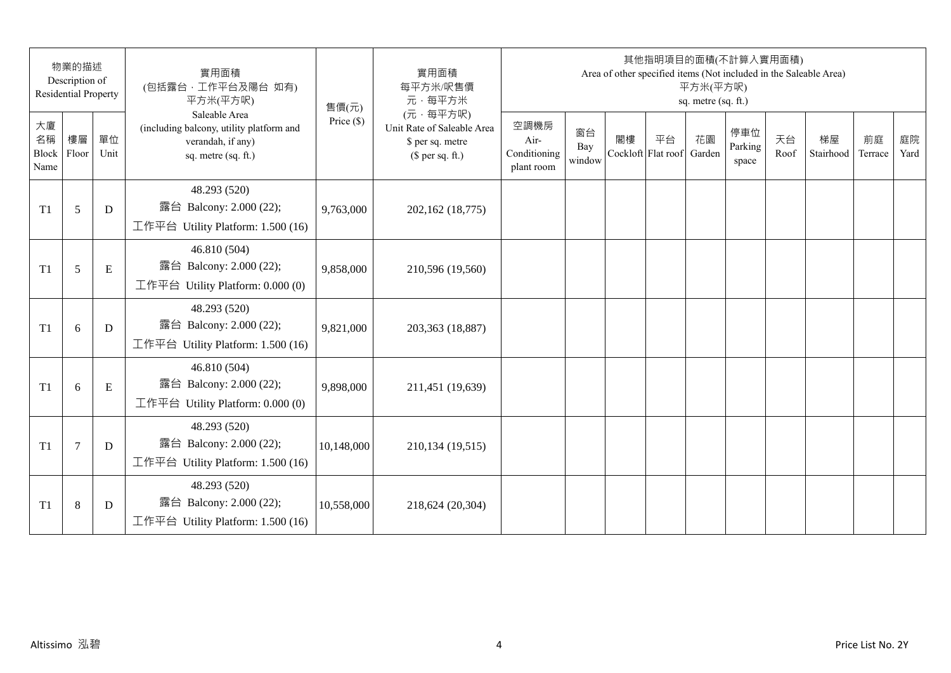|                                 | 物業的描述<br>Description of<br><b>Residential Property</b> |            | 實用面積<br>(包括露台,工作平台及陽台 如有)<br>平方米(平方呎)                                                                 | 售價(元)        | 實用面積<br>每平方米/呎售價<br>元·每平方米                                                     |                                            |                     |                          | 其他指明項目的面積(不計算入實用面積) | 平方米(平方呎)<br>sq. metre (sq. ft.) |                         |            | Area of other specified items (Not included in the Saleable Area) |               |            |
|---------------------------------|--------------------------------------------------------|------------|-------------------------------------------------------------------------------------------------------|--------------|--------------------------------------------------------------------------------|--------------------------------------------|---------------------|--------------------------|---------------------|---------------------------------|-------------------------|------------|-------------------------------------------------------------------|---------------|------------|
| 大廈<br>名稱<br>Block Floor<br>Name | 樓層                                                     | 單位<br>Unit | Saleable Area<br>(including balcony, utility platform and<br>verandah, if any)<br>sq. metre (sq. ft.) | Price $(\$)$ | (元·每平方呎)<br>Unit Rate of Saleable Area<br>\$ per sq. metre<br>$$$ per sq. ft.) | 空調機房<br>Air-<br>Conditioning<br>plant room | 窗台<br>Bay<br>window | 閣樓<br>Cockloft Flat roof | 平台                  | 花園<br>Garden                    | 停車位<br>Parking<br>space | 天台<br>Roof | 梯屋<br>Stairhood                                                   | 前庭<br>Terrace | 庭院<br>Yard |
| T1                              | 5                                                      | D          | 48.293 (520)<br>露台 Balcony: 2.000 (22);<br>工作平台 Utility Platform: 1.500 (16)                          | 9,763,000    | 202,162 (18,775)                                                               |                                            |                     |                          |                     |                                 |                         |            |                                                                   |               |            |
| T1                              | 5                                                      | E          | 46.810 (504)<br>露台 Balcony: 2.000 (22);<br>工作平台 Utility Platform: 0.000 (0)                           | 9,858,000    | 210,596 (19,560)                                                               |                                            |                     |                          |                     |                                 |                         |            |                                                                   |               |            |
| T1                              | 6                                                      | D          | 48.293 (520)<br>露台 Balcony: 2.000 (22);<br>工作平台 Utility Platform: 1.500 (16)                          | 9,821,000    | 203,363 (18,887)                                                               |                                            |                     |                          |                     |                                 |                         |            |                                                                   |               |            |
| T1                              | 6                                                      | ${\bf E}$  | 46.810 (504)<br>露台 Balcony: 2.000 (22);<br>工作平台 Utility Platform: 0.000 (0)                           | 9,898,000    | 211,451 (19,639)                                                               |                                            |                     |                          |                     |                                 |                         |            |                                                                   |               |            |
| T1                              | $\tau$                                                 | D          | 48.293 (520)<br>露台 Balcony: 2.000 (22);<br>工作平台 Utility Platform: 1.500 (16)                          | 10,148,000   | 210,134 (19,515)                                                               |                                            |                     |                          |                     |                                 |                         |            |                                                                   |               |            |
| T1                              | $\,8\,$                                                | D          | 48.293 (520)<br>露台 Balcony: 2.000 (22);<br>工作平台 Utility Platform: 1.500 (16)                          | 10,558,000   | 218,624 (20,304)                                                               |                                            |                     |                          |                     |                                 |                         |            |                                                                   |               |            |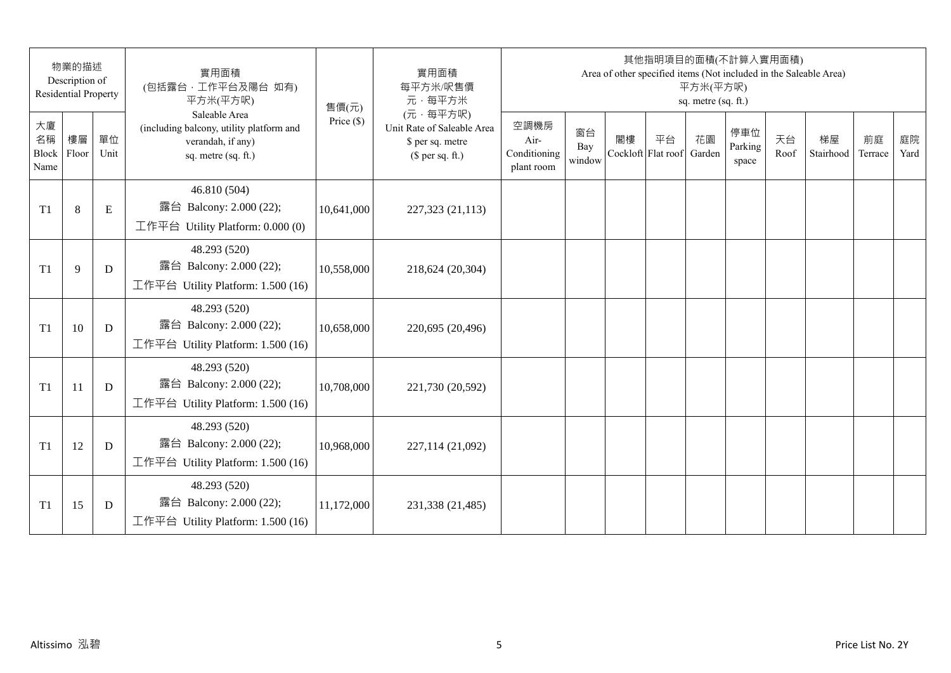|                           | 物業的描述<br>Description of<br><b>Residential Property</b> |             | 實用面積<br>(包括露台,工作平台及陽台 如有)<br>平方米(平方呎)                                                                 | 售價(元)        | 實用面積<br>每平方米/呎售價<br>元·每平方米                                                     |                                            |                     |    | 其他指明項目的面積(不計算入實用面積)      | 平方米(平方呎)<br>sq. metre (sq. ft.) |                         |            | Area of other specified items (Not included in the Saleable Area) |               |            |
|---------------------------|--------------------------------------------------------|-------------|-------------------------------------------------------------------------------------------------------|--------------|--------------------------------------------------------------------------------|--------------------------------------------|---------------------|----|--------------------------|---------------------------------|-------------------------|------------|-------------------------------------------------------------------|---------------|------------|
| 大廈<br>名稱<br>Block<br>Name | 樓層<br>Floor                                            | 單位<br>Unit  | Saleable Area<br>(including balcony, utility platform and<br>verandah, if any)<br>sq. metre (sq. ft.) | Price $(\$)$ | (元·每平方呎)<br>Unit Rate of Saleable Area<br>\$ per sq. metre<br>$$$ per sq. ft.) | 空調機房<br>Air-<br>Conditioning<br>plant room | 窗台<br>Bay<br>window | 閣樓 | 平台<br>Cockloft Flat roof | 花園<br>Garden                    | 停車位<br>Parking<br>space | 天台<br>Roof | 梯屋<br>Stairhood                                                   | 前庭<br>Terrace | 庭院<br>Yard |
| T <sub>1</sub>            | $8\,$                                                  | $\mathbf E$ | 46.810 (504)<br>露台 Balcony: 2.000 (22);<br>工作平台 Utility Platform: 0.000 (0)                           | 10,641,000   | 227,323 (21,113)                                                               |                                            |                     |    |                          |                                 |                         |            |                                                                   |               |            |
| T <sub>1</sub>            | 9                                                      | D           | 48.293 (520)<br>露台 Balcony: 2.000 (22);<br>工作平台 Utility Platform: 1.500 (16)                          | 10,558,000   | 218,624 (20,304)                                                               |                                            |                     |    |                          |                                 |                         |            |                                                                   |               |            |
| T <sub>1</sub>            | 10                                                     | D           | 48.293 (520)<br>露台 Balcony: 2.000 (22);<br>工作平台 Utility Platform: 1.500 (16)                          | 10,658,000   | 220,695 (20,496)                                                               |                                            |                     |    |                          |                                 |                         |            |                                                                   |               |            |
| T <sub>1</sub>            | 11                                                     | D           | 48.293 (520)<br>露台 Balcony: 2.000 (22);<br>工作平台 Utility Platform: 1.500 (16)                          | 10,708,000   | 221,730 (20,592)                                                               |                                            |                     |    |                          |                                 |                         |            |                                                                   |               |            |
| T <sub>1</sub>            | 12                                                     | D           | 48.293 (520)<br>露台 Balcony: 2.000 (22);<br>工作平台 Utility Platform: 1.500 (16)                          | 10,968,000   | 227,114 (21,092)                                                               |                                            |                     |    |                          |                                 |                         |            |                                                                   |               |            |
| T1                        | 15                                                     | D           | 48.293 (520)<br>露台 Balcony: 2.000 (22);<br>工作平台 Utility Platform: 1.500 (16)                          | 11,172,000   | 231,338 (21,485)                                                               |                                            |                     |    |                          |                                 |                         |            |                                                                   |               |            |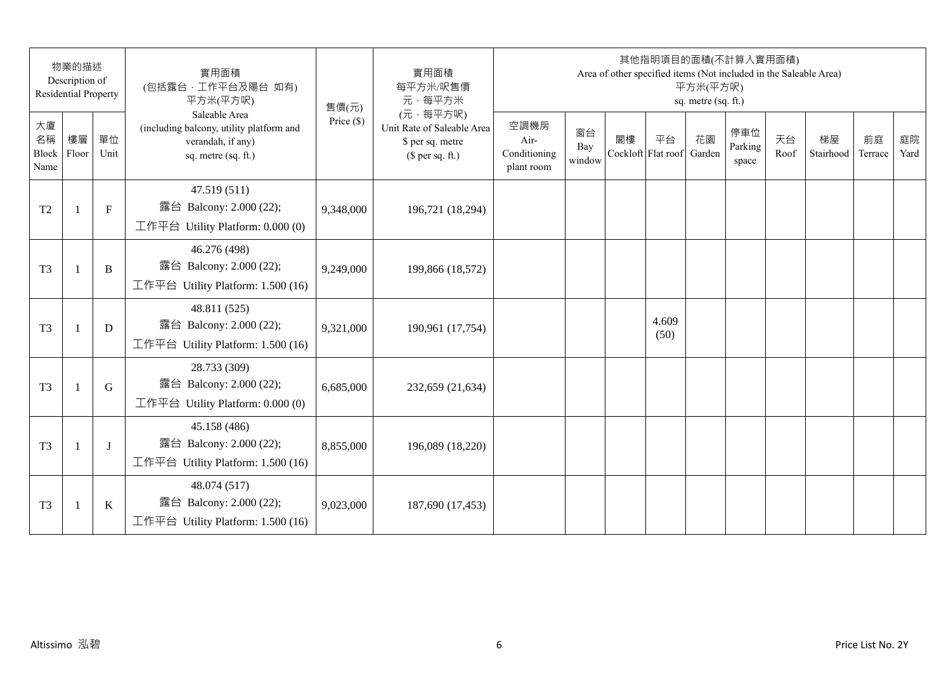|                           | 物業的描述<br>Description of<br><b>Residential Property</b> |              | 實用面積<br>(包括露台,工作平台及陽台 如有)<br>平方米(平方呎)                                                                 | 售價(元)        | 實用面積<br>每平方米/呎售價<br>元·每平方米                                                     |                                            |                     |    | 其他指明項目的面積(不計算入實用面積)<br>Area of other specified items (Not included in the Saleable Area) | 平方米(平方呎)<br>sq. metre (sq. ft.) |                         |            |                 |               |            |
|---------------------------|--------------------------------------------------------|--------------|-------------------------------------------------------------------------------------------------------|--------------|--------------------------------------------------------------------------------|--------------------------------------------|---------------------|----|------------------------------------------------------------------------------------------|---------------------------------|-------------------------|------------|-----------------|---------------|------------|
| 大廈<br>名稱<br>Block<br>Name | 樓層<br>Floor                                            | 單位<br>Unit   | Saleable Area<br>(including balcony, utility platform and<br>verandah, if any)<br>sq. metre (sq. ft.) | Price $(\$)$ | (元·每平方呎)<br>Unit Rate of Saleable Area<br>\$ per sq. metre<br>(\$ per sq. ft.) | 空調機房<br>Air-<br>Conditioning<br>plant room | 窗台<br>Bay<br>window | 閣樓 | 平台<br>Cockloft Flat roof                                                                 | 花園<br>Garden                    | 停車位<br>Parking<br>space | 天台<br>Roof | 梯屋<br>Stairhood | 前庭<br>Terrace | 庭院<br>Yard |
| T <sub>2</sub>            | $\mathbf{1}$                                           | $\mathbf{F}$ | 47.519 (511)<br>露台 Balcony: 2.000 (22);<br>工作平台 Utility Platform: 0.000 (0)                           | 9,348,000    | 196,721 (18,294)                                                               |                                            |                     |    |                                                                                          |                                 |                         |            |                 |               |            |
| T <sub>3</sub>            | $\overline{1}$                                         | B            | 46.276 (498)<br>露台 Balcony: 2.000 (22);<br>工作平台 Utility Platform: 1.500 (16)                          | 9,249,000    | 199,866 (18,572)                                                               |                                            |                     |    |                                                                                          |                                 |                         |            |                 |               |            |
| T <sub>3</sub>            | $\mathbf{1}$                                           | D            | 48.811 (525)<br>露台 Balcony: 2.000 (22);<br>工作平台 Utility Platform: 1.500 (16)                          | 9,321,000    | 190,961 (17,754)                                                               |                                            |                     |    | 4.609<br>(50)                                                                            |                                 |                         |            |                 |               |            |
| T <sub>3</sub>            |                                                        | G            | 28.733 (309)<br>露台 Balcony: 2.000 (22);<br>工作平台 Utility Platform: 0.000 (0)                           | 6,685,000    | 232,659 (21,634)                                                               |                                            |                     |    |                                                                                          |                                 |                         |            |                 |               |            |
| T <sub>3</sub>            | $\mathbf{1}$                                           | J            | 45.158 (486)<br>露台 Balcony: 2.000 (22);<br>工作平台 Utility Platform: 1.500 (16)                          | 8,855,000    | 196,089 (18,220)                                                               |                                            |                     |    |                                                                                          |                                 |                         |            |                 |               |            |
| T <sub>3</sub>            | $\overline{1}$                                         | K            | 48.074 (517)<br>露台 Balcony: 2.000 (22);<br>工作平台 Utility Platform: $1.500(16)$                         | 9,023,000    | 187,690 (17,453)                                                               |                                            |                     |    |                                                                                          |                                 |                         |            |                 |               |            |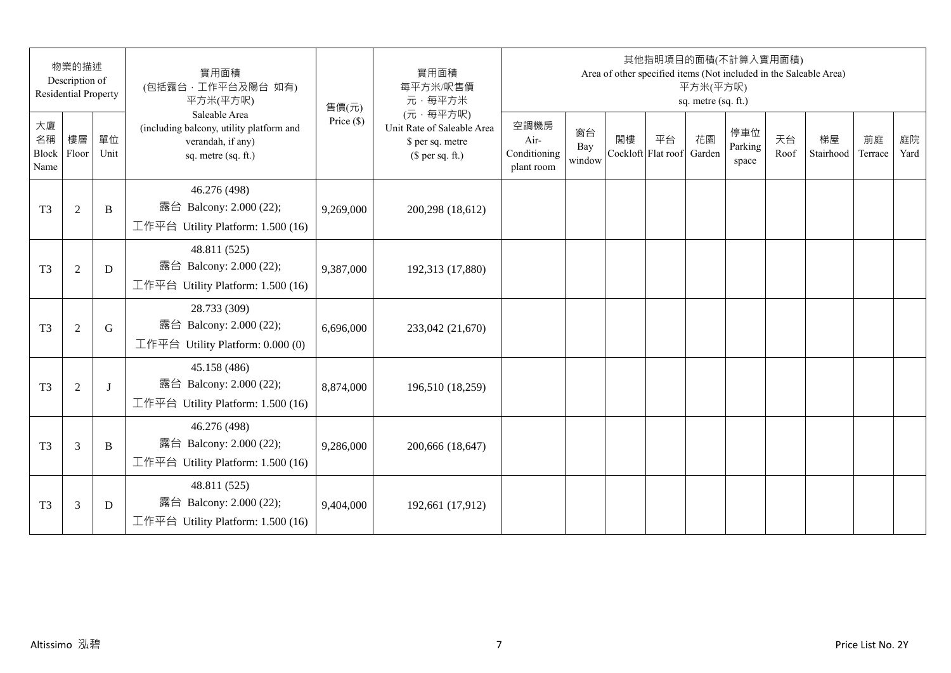|                                 | 物業的描述<br>Description of<br><b>Residential Property</b> |            | 實用面積<br>(包括露台,工作平台及陽台 如有)<br>平方米(平方呎)                                                                 | 售價(元)        | 實用面積<br>每平方米/呎售價<br>元·每平方米                                                     |                                            |                     |    | 其他指明項目的面積(不計算入實用面積)<br>Area of other specified items (Not included in the Saleable Area) | 平方米(平方呎)<br>sq. metre (sq. ft.) |                         |            |                 |               |            |
|---------------------------------|--------------------------------------------------------|------------|-------------------------------------------------------------------------------------------------------|--------------|--------------------------------------------------------------------------------|--------------------------------------------|---------------------|----|------------------------------------------------------------------------------------------|---------------------------------|-------------------------|------------|-----------------|---------------|------------|
| 大廈<br>名稱<br>Block Floor<br>Name | 樓層                                                     | 單位<br>Unit | Saleable Area<br>(including balcony, utility platform and<br>verandah, if any)<br>sq. metre (sq. ft.) | Price $(\$)$ | (元·每平方呎)<br>Unit Rate of Saleable Area<br>\$ per sq. metre<br>$$$ per sq. ft.) | 空調機房<br>Air-<br>Conditioning<br>plant room | 窗台<br>Bay<br>window | 閣樓 | 平台<br>Cockloft Flat roof                                                                 | 花園<br>Garden                    | 停車位<br>Parking<br>space | 天台<br>Roof | 梯屋<br>Stairhood | 前庭<br>Terrace | 庭院<br>Yard |
| T <sub>3</sub>                  | $\overline{2}$                                         | B          | 46.276 (498)<br>露台 Balcony: 2.000 (22);<br>工作平台 Utility Platform: 1.500 (16)                          | 9,269,000    | 200,298 (18,612)                                                               |                                            |                     |    |                                                                                          |                                 |                         |            |                 |               |            |
| T <sub>3</sub>                  | $\mathfrak{2}$                                         | D          | 48.811 (525)<br>露台 Balcony: 2.000 (22);<br>工作平台 Utility Platform: 1.500 (16)                          | 9,387,000    | 192,313 (17,880)                                                               |                                            |                     |    |                                                                                          |                                 |                         |            |                 |               |            |
| T <sub>3</sub>                  | $\mathfrak{2}$                                         | G          | 28.733 (309)<br>露台 Balcony: 2.000 (22);<br>工作平台 Utility Platform: 0.000 (0)                           | 6,696,000    | 233,042 (21,670)                                                               |                                            |                     |    |                                                                                          |                                 |                         |            |                 |               |            |
| T <sub>3</sub>                  | $\overline{2}$                                         | $\bf{J}$   | 45.158 (486)<br>露台 Balcony: 2.000 (22);<br>工作平台 Utility Platform: 1.500 (16)                          | 8,874,000    | 196,510 (18,259)                                                               |                                            |                     |    |                                                                                          |                                 |                         |            |                 |               |            |
| T <sub>3</sub>                  | 3                                                      | B          | 46.276 (498)<br>露台 Balcony: 2.000 (22);<br>工作平台 Utility Platform: 1.500 (16)                          | 9,286,000    | 200,666 (18,647)                                                               |                                            |                     |    |                                                                                          |                                 |                         |            |                 |               |            |
| T <sub>3</sub>                  | 3                                                      | D          | 48.811 (525)<br>露台 Balcony: 2.000 (22);<br>工作平台 Utility Platform: 1.500 (16)                          | 9,404,000    | 192,661 (17,912)                                                               |                                            |                     |    |                                                                                          |                                 |                         |            |                 |               |            |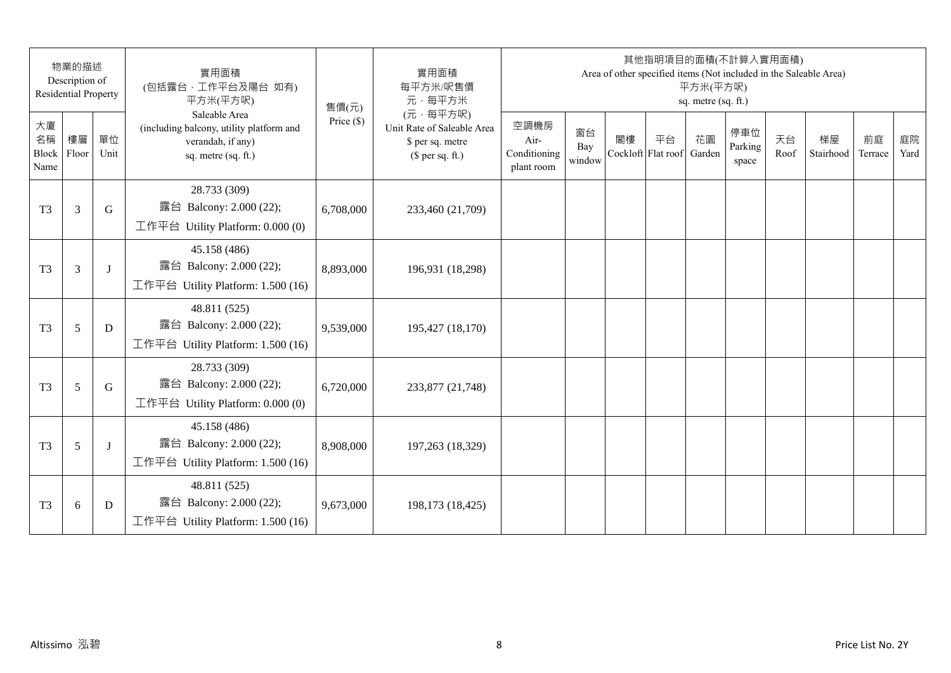|                                 | 物業的描述<br>Description of<br><b>Residential Property</b> |            | 實用面積<br>(包括露台,工作平台及陽台 如有)<br>平方米(平方呎)                                                                 | 售價(元)        | 實用面積<br>每平方米/呎售價<br>元·每平方米                                                     |                                            |                     |                          | 其他指明項目的面積(不計算入實用面積)<br>Area of other specified items (Not included in the Saleable Area) | 平方米(平方呎)<br>sq. metre (sq. ft.) |                         |            |                 |               |            |
|---------------------------------|--------------------------------------------------------|------------|-------------------------------------------------------------------------------------------------------|--------------|--------------------------------------------------------------------------------|--------------------------------------------|---------------------|--------------------------|------------------------------------------------------------------------------------------|---------------------------------|-------------------------|------------|-----------------|---------------|------------|
| 大廈<br>名稱<br>Block Floor<br>Name | 樓層                                                     | 單位<br>Unit | Saleable Area<br>(including balcony, utility platform and<br>verandah, if any)<br>sq. metre (sq. ft.) | Price $(\$)$ | (元·每平方呎)<br>Unit Rate of Saleable Area<br>\$ per sq. metre<br>$$$ per sq. ft.) | 空調機房<br>Air-<br>Conditioning<br>plant room | 窗台<br>Bay<br>window | 閣樓<br>Cockloft Flat roof | 平台                                                                                       | 花園<br>Garden                    | 停車位<br>Parking<br>space | 天台<br>Roof | 梯屋<br>Stairhood | 前庭<br>Terrace | 庭院<br>Yard |
| T <sub>3</sub>                  | 3                                                      | G          | 28.733 (309)<br>露台 Balcony: 2.000 (22);<br>工作平台 Utility Platform: 0.000 (0)                           | 6,708,000    | 233,460 (21,709)                                                               |                                            |                     |                          |                                                                                          |                                 |                         |            |                 |               |            |
| T <sub>3</sub>                  | 3                                                      | J          | 45.158 (486)<br>露台 Balcony: 2.000 (22);<br>工作平台 Utility Platform: 1.500 (16)                          | 8,893,000    | 196,931 (18,298)                                                               |                                            |                     |                          |                                                                                          |                                 |                         |            |                 |               |            |
| T <sub>3</sub>                  | 5                                                      | D          | 48.811 (525)<br>露台 Balcony: 2.000 (22);<br>工作平台 Utility Platform: 1.500 (16)                          | 9,539,000    | 195,427 (18,170)                                                               |                                            |                     |                          |                                                                                          |                                 |                         |            |                 |               |            |
| T <sub>3</sub>                  | 5                                                      | G          | 28.733 (309)<br>露台 Balcony: 2.000 (22);<br>工作平台 Utility Platform: 0.000 (0)                           | 6,720,000    | 233,877 (21,748)                                                               |                                            |                     |                          |                                                                                          |                                 |                         |            |                 |               |            |
| T <sub>3</sub>                  | 5                                                      | J          | 45.158 (486)<br>露台 Balcony: 2.000 (22);<br>工作平台 Utility Platform: 1.500 (16)                          | 8,908,000    | 197,263 (18,329)                                                               |                                            |                     |                          |                                                                                          |                                 |                         |            |                 |               |            |
| T <sub>3</sub>                  | 6                                                      | D          | 48.811 (525)<br>露台 Balcony: 2.000 (22);<br>工作平台 Utility Platform: $1.500(16)$                         | 9,673,000    | 198,173 (18,425)                                                               |                                            |                     |                          |                                                                                          |                                 |                         |            |                 |               |            |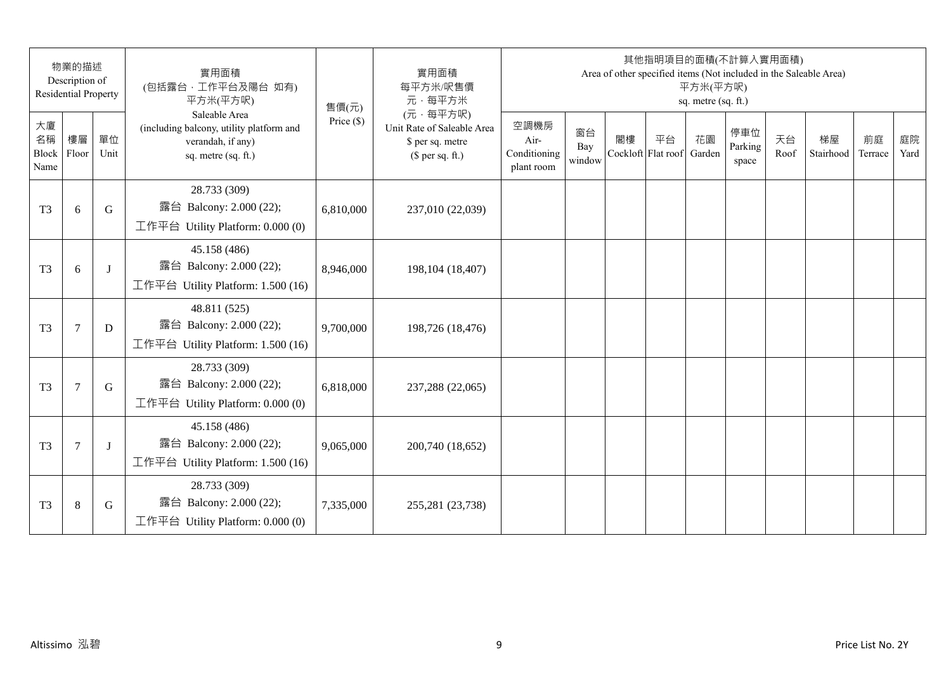|                                 | 物業的描述<br>Description of<br><b>Residential Property</b> |            | 實用面積<br>(包括露台, 工作平台及陽台 如有)<br>平方米(平方呎)                                                                | 售價(元)        | 實用面積<br>每平方米/呎售價<br>元·每平方米                                                     |                                            |                     |                          | 其他指明項目的面積(不計算入實用面積) | 平方米(平方呎)<br>sq. metre (sq. ft.) |                         |            | Area of other specified items (Not included in the Saleable Area) |               |            |
|---------------------------------|--------------------------------------------------------|------------|-------------------------------------------------------------------------------------------------------|--------------|--------------------------------------------------------------------------------|--------------------------------------------|---------------------|--------------------------|---------------------|---------------------------------|-------------------------|------------|-------------------------------------------------------------------|---------------|------------|
| 大廈<br>名稱<br>Block Floor<br>Name | 樓層                                                     | 單位<br>Unit | Saleable Area<br>(including balcony, utility platform and<br>verandah, if any)<br>sq. metre (sq. ft.) | Price $(\$)$ | (元·每平方呎)<br>Unit Rate of Saleable Area<br>\$ per sq. metre<br>$$$ per sq. ft.) | 空調機房<br>Air-<br>Conditioning<br>plant room | 窗台<br>Bay<br>window | 閣樓<br>Cockloft Flat roof | 平台                  | 花園<br>Garden                    | 停車位<br>Parking<br>space | 天台<br>Roof | 梯屋<br>Stairhood                                                   | 前庭<br>Terrace | 庭院<br>Yard |
| T <sub>3</sub>                  | 6                                                      | G          | 28.733 (309)<br>露台 Balcony: 2.000 (22);<br>工作平台 Utility Platform: 0.000 (0)                           | 6,810,000    | 237,010 (22,039)                                                               |                                            |                     |                          |                     |                                 |                         |            |                                                                   |               |            |
| T <sub>3</sub>                  | 6                                                      | $\bf{J}$   | 45.158 (486)<br>露台 Balcony: 2.000 (22);<br>工作平台 Utility Platform: 1.500 (16)                          | 8,946,000    | 198, 104 (18, 407)                                                             |                                            |                     |                          |                     |                                 |                         |            |                                                                   |               |            |
| T <sub>3</sub>                  | $\tau$                                                 | D          | 48.811 (525)<br>露台 Balcony: 2.000 (22);<br>工作平台 Utility Platform: 1.500 (16)                          | 9,700,000    | 198,726 (18,476)                                                               |                                            |                     |                          |                     |                                 |                         |            |                                                                   |               |            |
| T <sub>3</sub>                  | $\overline{7}$                                         | G          | 28.733 (309)<br>露台 Balcony: 2.000 (22);<br>工作平台 Utility Platform: 0.000 (0)                           | 6,818,000    | 237,288 (22,065)                                                               |                                            |                     |                          |                     |                                 |                         |            |                                                                   |               |            |
| T <sub>3</sub>                  | 7                                                      | J          | 45.158 (486)<br>露台 Balcony: 2.000 (22);<br>工作平台 Utility Platform: 1.500 (16)                          | 9,065,000    | 200,740 (18,652)                                                               |                                            |                     |                          |                     |                                 |                         |            |                                                                   |               |            |
| T <sub>3</sub>                  | $\,8\,$                                                | G          | 28.733 (309)<br>露台 Balcony: 2.000 (22);<br>工作平台 Utility Platform: 0.000 (0)                           | 7,335,000    | 255,281 (23,738)                                                               |                                            |                     |                          |                     |                                 |                         |            |                                                                   |               |            |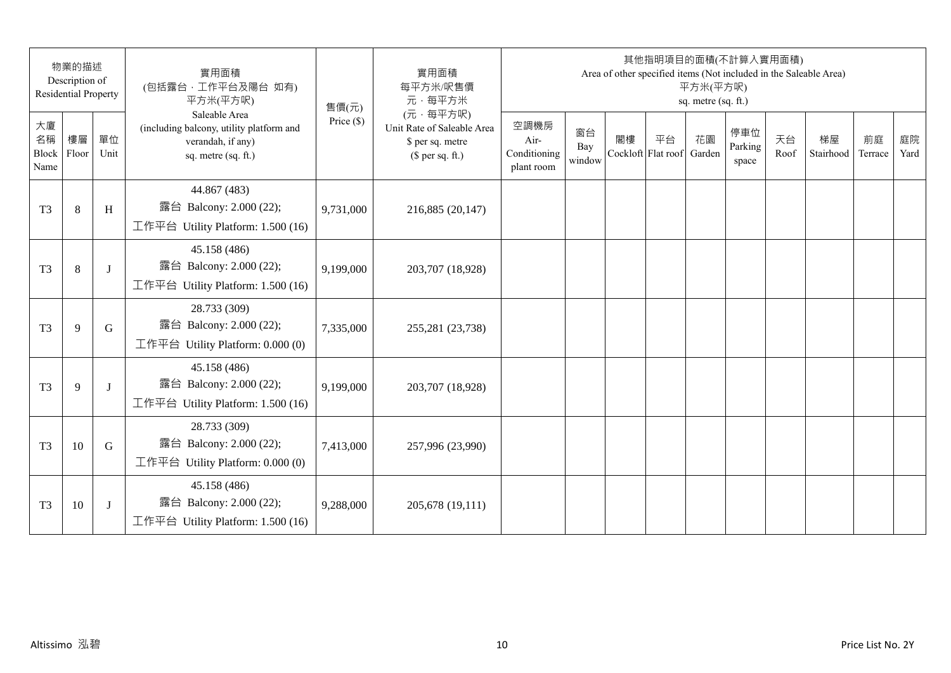|                           | 物業的描述<br>Description of<br><b>Residential Property</b> |            | 實用面積<br>(包括露台,工作平台及陽台 如有)<br>平方米(平方呎)                                                                 | 售價(元)        | 實用面積<br>每平方米/呎售價<br>元·每平方米                                                     |                                            |                     |    | 其他指明項目的面積(不計算入實用面積)      | 平方米(平方呎)<br>sq. metre (sq. ft.) |                         |            | Area of other specified items (Not included in the Saleable Area) |               |            |
|---------------------------|--------------------------------------------------------|------------|-------------------------------------------------------------------------------------------------------|--------------|--------------------------------------------------------------------------------|--------------------------------------------|---------------------|----|--------------------------|---------------------------------|-------------------------|------------|-------------------------------------------------------------------|---------------|------------|
| 大廈<br>名稱<br>Block<br>Name | 樓層<br>Floor                                            | 單位<br>Unit | Saleable Area<br>(including balcony, utility platform and<br>verandah, if any)<br>sq. metre (sq. ft.) | Price $(\$)$ | (元·每平方呎)<br>Unit Rate of Saleable Area<br>\$ per sq. metre<br>$$$ per sq. ft.) | 空調機房<br>Air-<br>Conditioning<br>plant room | 窗台<br>Bay<br>window | 閣樓 | 平台<br>Cockloft Flat roof | 花園<br>Garden                    | 停車位<br>Parking<br>space | 天台<br>Roof | 梯屋<br>Stairhood                                                   | 前庭<br>Terrace | 庭院<br>Yard |
| T <sub>3</sub>            | 8                                                      | H          | 44.867 (483)<br>露台 Balcony: 2.000 (22);<br>工作平台 Utility Platform: 1.500 (16)                          | 9,731,000    | 216,885 (20,147)                                                               |                                            |                     |    |                          |                                 |                         |            |                                                                   |               |            |
| T <sub>3</sub>            | 8                                                      | J          | 45.158 (486)<br>露台 Balcony: 2.000 (22);<br>工作平台 Utility Platform: 1.500 (16)                          | 9,199,000    | 203,707 (18,928)                                                               |                                            |                     |    |                          |                                 |                         |            |                                                                   |               |            |
| T <sub>3</sub>            | 9                                                      | G          | 28.733 (309)<br>露台 Balcony: 2.000 (22);<br>工作平台 Utility Platform: $0.000(0)$                          | 7,335,000    | 255,281 (23,738)                                                               |                                            |                     |    |                          |                                 |                         |            |                                                                   |               |            |
| T <sub>3</sub>            | 9                                                      | J          | 45.158 (486)<br>露台 Balcony: 2.000 (22);<br>工作平台 Utility Platform: 1.500 (16)                          | 9,199,000    | 203,707 (18,928)                                                               |                                            |                     |    |                          |                                 |                         |            |                                                                   |               |            |
| T <sub>3</sub>            | 10                                                     | G          | 28.733 (309)<br>露台 Balcony: 2.000 (22);<br>工作平台 Utility Platform: $0.000(0)$                          | 7,413,000    | 257,996 (23,990)                                                               |                                            |                     |    |                          |                                 |                         |            |                                                                   |               |            |
| T <sub>3</sub>            | 10                                                     | J          | 45.158 (486)<br>露台 Balcony: 2.000 (22);<br>工作平台 Utility Platform: 1.500 (16)                          | 9,288,000    | 205,678 (19,111)                                                               |                                            |                     |    |                          |                                 |                         |            |                                                                   |               |            |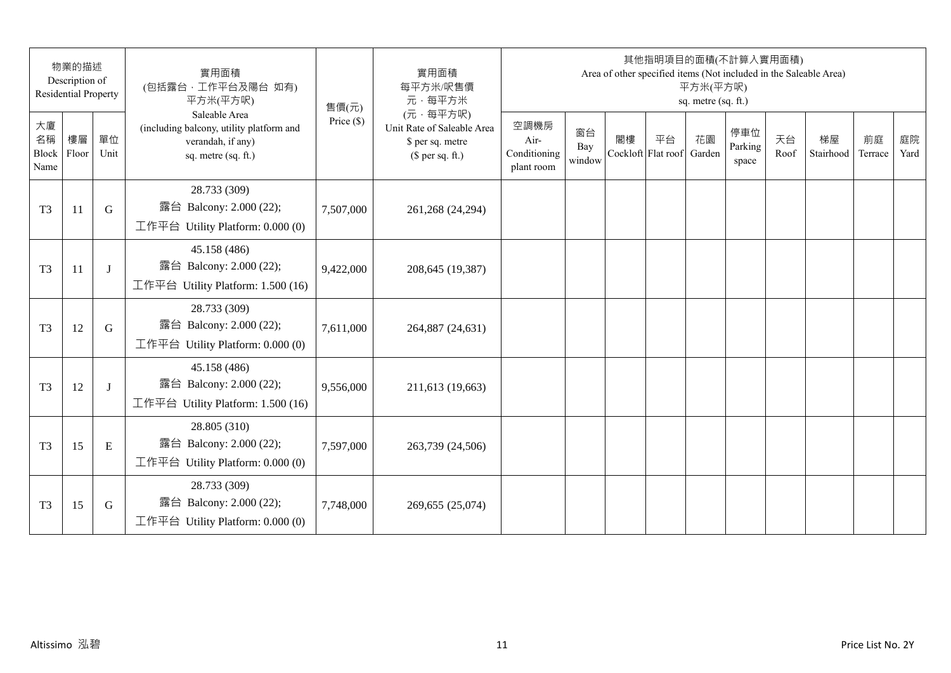| 物業的描述<br>Description of<br><b>Residential Property</b> |    |            | 實用面積<br>(包括露台,工作平台及陽台 如有)<br>平方米(平方呎)                                                                 | 售價(元)        | 實用面積<br>每平方米/呎售價<br>元·每平方米                                                     | 其他指明項目的面積(不計算入實用面積)<br>Area of other specified items (Not included in the Saleable Area)<br>平方米(平方呎)<br>sq. metre (sq. ft.) |                     |    |                          |              |                         |            |                 |               |            |
|--------------------------------------------------------|----|------------|-------------------------------------------------------------------------------------------------------|--------------|--------------------------------------------------------------------------------|-----------------------------------------------------------------------------------------------------------------------------|---------------------|----|--------------------------|--------------|-------------------------|------------|-----------------|---------------|------------|
| 大廈<br>名稱<br>Block Floor<br>Name                        | 樓層 | 單位<br>Unit | Saleable Area<br>(including balcony, utility platform and<br>verandah, if any)<br>sq. metre (sq. ft.) | Price $(\$)$ | (元·每平方呎)<br>Unit Rate of Saleable Area<br>\$ per sq. metre<br>$$$ per sq. ft.) | 空調機房<br>Air-<br>Conditioning<br>plant room                                                                                  | 窗台<br>Bay<br>window | 閣樓 | 平台<br>Cockloft Flat roof | 花園<br>Garden | 停車位<br>Parking<br>space | 天台<br>Roof | 梯屋<br>Stairhood | 前庭<br>Terrace | 庭院<br>Yard |
| T <sub>3</sub>                                         | 11 | G          | 28.733 (309)<br>露台 Balcony: 2.000 (22);<br>工作平台 Utility Platform: 0.000 (0)                           | 7,507,000    | 261,268 (24,294)                                                               |                                                                                                                             |                     |    |                          |              |                         |            |                 |               |            |
| T <sub>3</sub>                                         | 11 | J          | 45.158 (486)<br>露台 Balcony: 2.000 (22);<br>工作平台 Utility Platform: 1.500 (16)                          | 9,422,000    | 208,645 (19,387)                                                               |                                                                                                                             |                     |    |                          |              |                         |            |                 |               |            |
| T <sub>3</sub>                                         | 12 | G          | 28.733 (309)<br>露台 Balcony: 2.000 (22);<br>工作平台 Utility Platform: 0.000 (0)                           | 7,611,000    | 264,887 (24,631)                                                               |                                                                                                                             |                     |    |                          |              |                         |            |                 |               |            |
| T <sub>3</sub>                                         | 12 | J          | 45.158 (486)<br>露台 Balcony: 2.000 (22);<br>工作平台 Utility Platform: 1.500 (16)                          | 9,556,000    | 211,613 (19,663)                                                               |                                                                                                                             |                     |    |                          |              |                         |            |                 |               |            |
| T <sub>3</sub>                                         | 15 | E          | 28.805 (310)<br>露台 Balcony: 2.000 (22);<br>工作平台 Utility Platform: $0.000(0)$                          | 7,597,000    | 263,739 (24,506)                                                               |                                                                                                                             |                     |    |                          |              |                         |            |                 |               |            |
| T <sub>3</sub>                                         | 15 | G          | 28.733 (309)<br>露台 Balcony: 2.000 (22);<br>工作平台 Utility Platform: 0.000 (0)                           | 7,748,000    | 269,655 (25,074)                                                               |                                                                                                                             |                     |    |                          |              |                         |            |                 |               |            |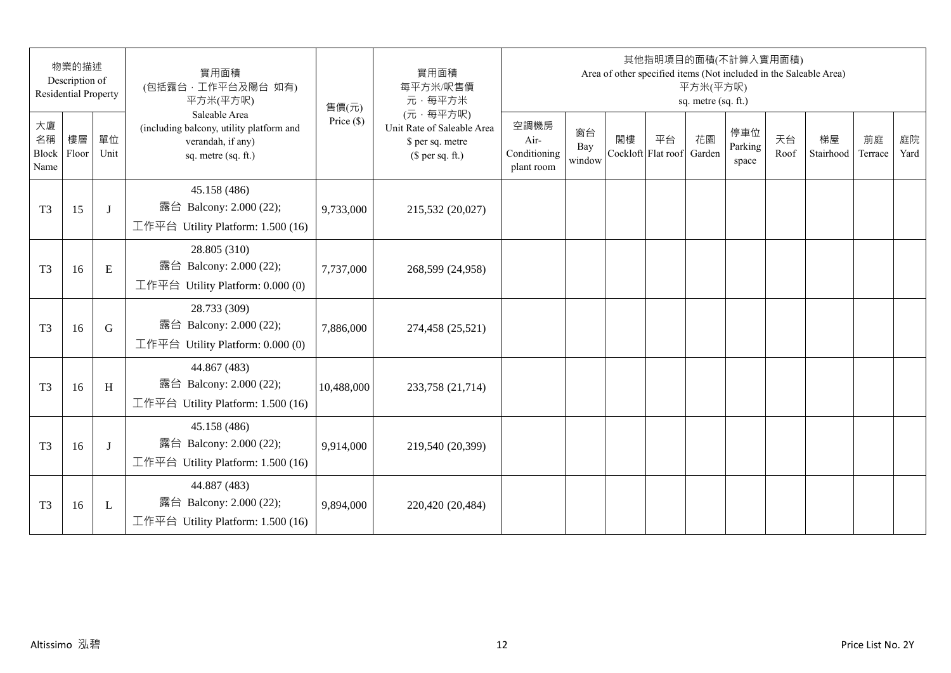| 物業的描述<br>Description of<br><b>Residential Property</b> |    |              | 實用面積<br>(包括露台,工作平台及陽台 如有)<br>平方米(平方呎)                                                                 | 售價(元)        | 實用面積<br>每平方米/呎售價<br>元·每平方米                                                     | 其他指明項目的面積(不計算入實用面積)<br>Area of other specified items (Not included in the Saleable Area)<br>平方米(平方呎)<br>sq. metre (sq. ft.) |                     |                          |    |              |                         |            |                 |               |            |
|--------------------------------------------------------|----|--------------|-------------------------------------------------------------------------------------------------------|--------------|--------------------------------------------------------------------------------|-----------------------------------------------------------------------------------------------------------------------------|---------------------|--------------------------|----|--------------|-------------------------|------------|-----------------|---------------|------------|
| 大廈<br>名稱<br>Block Floor<br>Name                        | 樓層 | 單位<br>Unit   | Saleable Area<br>(including balcony, utility platform and<br>verandah, if any)<br>sq. metre (sq. ft.) | Price $(\$)$ | (元·每平方呎)<br>Unit Rate of Saleable Area<br>\$ per sq. metre<br>$$$ per sq. ft.) | 空調機房<br>Air-<br>Conditioning<br>plant room                                                                                  | 窗台<br>Bay<br>window | 閣樓<br>Cockloft Flat roof | 平台 | 花園<br>Garden | 停車位<br>Parking<br>space | 天台<br>Roof | 梯屋<br>Stairhood | 前庭<br>Terrace | 庭院<br>Yard |
| T <sub>3</sub>                                         | 15 | J            | 45.158 (486)<br>露台 Balcony: 2.000 (22);<br>工作平台 Utility Platform: 1.500 (16)                          | 9,733,000    | 215,532 (20,027)                                                               |                                                                                                                             |                     |                          |    |              |                         |            |                 |               |            |
| T <sub>3</sub>                                         | 16 | E            | 28.805 (310)<br>露台 Balcony: 2.000 (22);<br>工作平台 Utility Platform: 0.000 (0)                           | 7,737,000    | 268,599 (24,958)                                                               |                                                                                                                             |                     |                          |    |              |                         |            |                 |               |            |
| T <sub>3</sub>                                         | 16 | G            | 28.733 (309)<br>露台 Balcony: 2.000 (22);<br>工作平台 Utility Platform: 0.000 (0)                           | 7,886,000    | 274,458 (25,521)                                                               |                                                                                                                             |                     |                          |    |              |                         |            |                 |               |            |
| T <sub>3</sub>                                         | 16 | H            | 44.867 (483)<br>露台 Balcony: 2.000 (22);<br>工作平台 Utility Platform: 1.500 (16)                          | 10,488,000   | 233,758 (21,714)                                                               |                                                                                                                             |                     |                          |    |              |                         |            |                 |               |            |
| T <sub>3</sub>                                         | 16 | J            | 45.158 (486)<br>露台 Balcony: 2.000 (22);<br>工作平台 Utility Platform: 1.500 (16)                          | 9,914,000    | 219,540 (20,399)                                                               |                                                                                                                             |                     |                          |    |              |                         |            |                 |               |            |
| T <sub>3</sub>                                         | 16 | $\mathbf{L}$ | 44.887 (483)<br>露台 Balcony: 2.000 (22);<br>工作平台 Utility Platform: $1.500(16)$                         | 9,894,000    | 220,420 (20,484)                                                               |                                                                                                                             |                     |                          |    |              |                         |            |                 |               |            |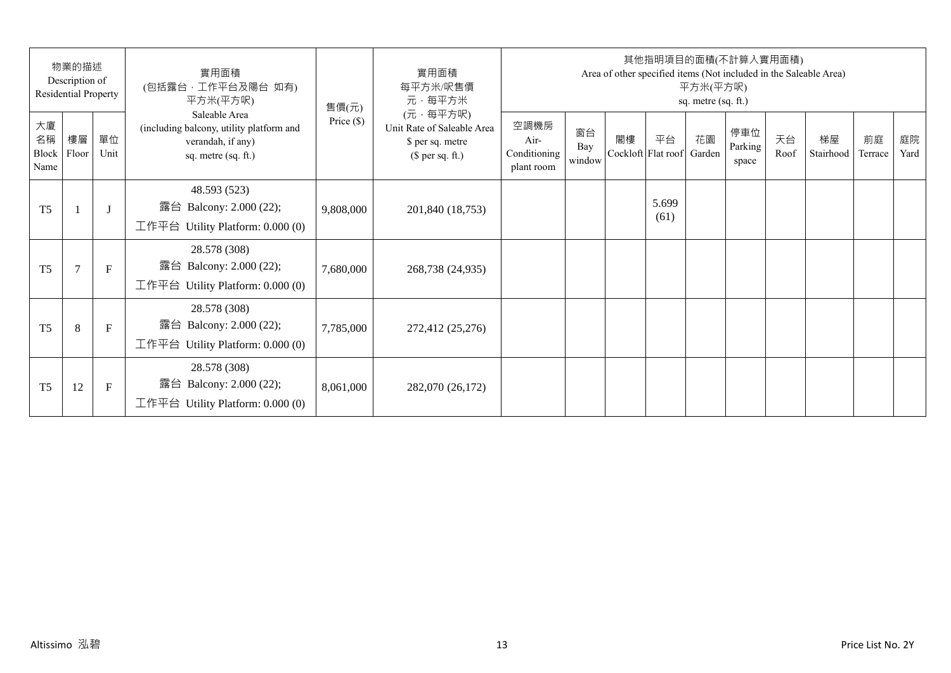| 物業的描述<br>Description of<br>Residential Property |                |              | 實用面積<br>(包括露台,工作平台及陽台 如有)<br>平方米(平方呎)                                                                 | 售價(元)        | 實用面積<br>每平方米/呎售價<br>元·每平方米                                                     | 其他指明項目的面積(不計算入實用面積)<br>Area of other specified items (Not included in the Saleable Area)<br>平方米(平方呎)<br>sq. metre (sq. ft.) |                     |    |                          |              |                         |            |                 |               |            |
|-------------------------------------------------|----------------|--------------|-------------------------------------------------------------------------------------------------------|--------------|--------------------------------------------------------------------------------|-----------------------------------------------------------------------------------------------------------------------------|---------------------|----|--------------------------|--------------|-------------------------|------------|-----------------|---------------|------------|
| 大廈<br>名稱<br>Block<br>Name                       | 樓層<br>Floor    | 單位<br>Unit   | Saleable Area<br>(including balcony, utility platform and<br>verandah, if any)<br>sq. metre (sq. ft.) | Price $(\$)$ | (元·每平方呎)<br>Unit Rate of Saleable Area<br>\$ per sq. metre<br>$$$ per sq. ft.) | 空調機房<br>Air-<br>Conditioning<br>plant room                                                                                  | 窗台<br>Bay<br>window | 閣樓 | 平台<br>Cockloft Flat roof | 花園<br>Garden | 停車位<br>Parking<br>space | 天台<br>Roof | 梯屋<br>Stairhood | 前庭<br>Terrace | 庭院<br>Yard |
| T <sub>5</sub>                                  |                | $\mathbf{J}$ | 48.593 (523)<br>露台 Balcony: 2.000 (22);<br>工作平台 Utility Platform: 0.000 (0)                           | 9,808,000    | 201,840 (18,753)                                                               |                                                                                                                             |                     |    | 5.699<br>(61)            |              |                         |            |                 |               |            |
| T <sub>5</sub>                                  | $\overline{7}$ | $\mathbf{F}$ | 28.578 (308)<br>露台 Balcony: 2.000 (22);<br>工作平台 Utility Platform: $0.000(0)$                          | 7,680,000    | 268,738 (24,935)                                                               |                                                                                                                             |                     |    |                          |              |                         |            |                 |               |            |
| T <sub>5</sub>                                  | 8              | $\mathbf{F}$ | 28.578 (308)<br>露台 Balcony: 2.000 (22);<br>工作平台 Utility Platform: $0.000(0)$                          | 7,785,000    | 272,412 (25,276)                                                               |                                                                                                                             |                     |    |                          |              |                         |            |                 |               |            |
| T <sub>5</sub>                                  | 12             | F            | 28.578 (308)<br>Balcony: 2.000 (22);<br>露台<br>工作平台 Utility Platform: $0.000(0)$                       | 8,061,000    | 282,070 (26,172)                                                               |                                                                                                                             |                     |    |                          |              |                         |            |                 |               |            |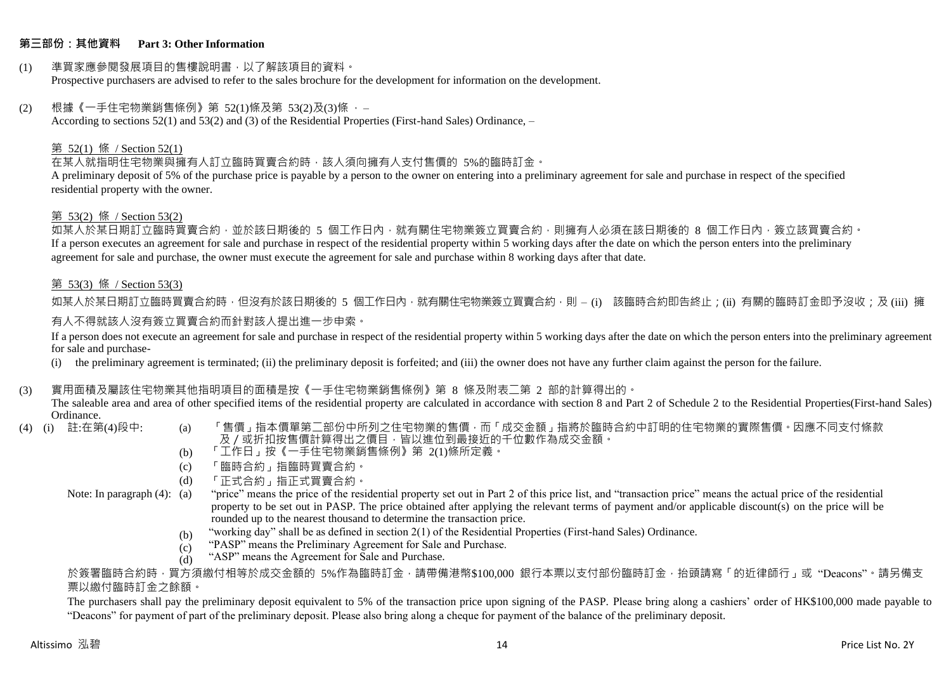### **第三部份:其他資料 Part 3: Other Information**

#### (1) 準買家應參閱發展項目的售樓說明書,以了解該項目的資料。 Prospective purchasers are advised to refer to the sales brochure for the development for information on the development.

### $(2)$  根據《一手住宅物業銷售條例》第 52(1)條及第 53(2)及(3)條,

According to sections 52(1) and 53(2) and (3) of the Residential Properties (First-hand Sales) Ordinance, –

### 第 52(1) 條 / Section 52(1)

在某人就指明住宅物業與擁有人訂立臨時買賣合約時,該人須向擁有人支付售價的 5%的臨時訂金。

A preliminary deposit of 5% of the purchase price is payable by a person to the owner on entering into a preliminary agreement for sale and purchase in respect of the specified residential property with the owner.

#### 第 53(2) 條 / Section 53(2)

如某人於某日期訂立臨時買賣合約,並於該日期後的 5 個工作日內,就有關住宅物業簽立買賣合約,則擁有人必須在該日期後的 8 個工作日內,簽立該買賣合約。 If a person executes an agreement for sale and purchase in respect of the residential property within 5 working days after the date on which the person enters into the preliminary agreement for sale and purchase, the owner must execute the agreement for sale and purchase within 8 working days after that date.

### 第 53(3) 條 / Section 53(3)

如某人於某日期訂立臨時買賣合約時,但沒有於該日期後的 5 個工作日內,就有關住宅物業簽立買賣合約,則 – (i) 該臨時合約即告終止;(ii) 有關的臨時訂金即予沒收;及 (iii) 擁 有人不得就該人沒有簽立買賣合約而針對該人提出進一步申索。

If a person does not execute an agreement for sale and purchase in respect of the residential property within 5 working days after the date on which the person enters into the preliminary agreement for sale and purchase-

(i) the preliminary agreement is terminated; (ii) the preliminary deposit is forfeited; and (iii) the owner does not have any further claim against the person for the failure.

### (3) 實用面積及屬該住宅物業其他指明項目的面積是按《一手住宅物業銷售條例》第 8 條及附表二第 2 部的計算得出的。

The saleable area and area of other specified items of the residential property are calculated in accordance with section 8 and Part 2 of Schedule 2 to the Residential Properties(First-hand Sales) Ordinance.<br>(4) (i) 註:在第(4)段中:

- 
- (a) 「售價」指本價單第二部份中所列之住宅物業的售價,而「成交金額」指將於臨時合約中訂明的住宅物業的實際售價。因應不同支付條款 及/或折扣按售價計算得出之價目,皆以進位到最接近的千位數作為成交金額。
- (b) 「工作日」按《一手住宅物業銷售條例》第 2(1)條所定義。
- (c) 「臨時合約」指臨時買賣合約。
- (d) 「正式合約」指正式買賣合約。
- Note: In paragraph (4): (a)
- "price" means the price of the residential property set out in Part 2 of this price list, and "transaction price" means the actual price of the residential property to be set out in PASP. The price obtained after applying the relevant terms of payment and/or applicable discount(s) on the price will be rounded up to the nearest thousand to determine the transaction price.
	- (b) "working day" shall be as defined in section 2(1) of the Residential Properties (First-hand Sales) Ordinance.
	- (c) "PASP" means the Preliminary Agreement for Sale and Purchase.
	- (d) "ASP" means the Agreement for Sale and Purchase.

於簽署臨時合約時,買方須繳付相等於成交金額的 5%作為臨時訂金,請帶備港幣\$100,000 銀行本票以支付部份臨時訂金,抬頭請寫「的近律師行」或"Deacons"。請另備支 票以繳付臨時訂金之餘額。

The purchasers shall pay the preliminary deposit equivalent to 5% of the transaction price upon signing of the PASP. Please bring along a cashiers' order of HK\$100,000 made payable to "Deacons" for payment of part of the preliminary deposit. Please also bring along a cheque for payment of the balance of the preliminary deposit.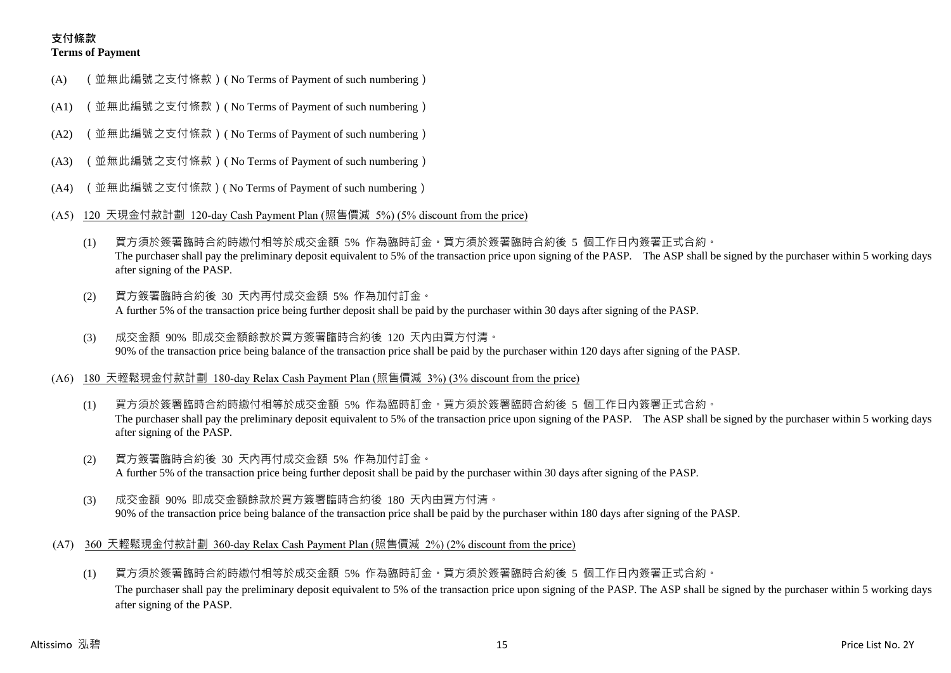# **支付條款 Terms of Payment**

- (A) (並無此編號之支付條款)( No Terms of Payment of such numbering)
- (A1) (並無此編號之支付條款)( No Terms of Payment of such numbering)
- (A2) (並無此編號之支付條款)( No Terms of Payment of such numbering)
- (A3) (並無此編號之支付條款)( No Terms of Payment of such numbering)
- (A4) (並無此編號之支付條款)( No Terms of Payment of such numbering)
- (A5) 120 天現金付款計劃 120-day Cash Payment Plan (照售價減 5%) (5% discount from the price)
	- (1) 買方須於簽署臨時合約時繳付相等於成交金額 5% 作為臨時訂金。買方須於簽署臨時合約後 5 個工作日內簽署正式合約。 The purchaser shall pay the preliminary deposit equivalent to 5% of the transaction price upon signing of the PASP. The ASP shall be signed by the purchaser within 5 working days after signing of the PASP.
	- (2) 買方簽署臨時合約後 30 天內再付成交金額 5% 作為加付訂金。 A further 5% of the transaction price being further deposit shall be paid by the purchaser within 30 days after signing of the PASP.
	- (3) 成交金額 90% 即成交金額餘款於買方簽署臨時合約後 120 天內由買方付清。 90% of the transaction price being balance of the transaction price shall be paid by the purchaser within 120 days after signing of the PASP.
- (A6) 180 天輕鬆現金付款計劃 180-day Relax Cash Payment Plan (照售價減 3%) (3% discount from the price)
	- (1) 買方須於簽署臨時合約時繳付相等於成交金額 5% 作為臨時訂金。買方須於簽署臨時合約後 5 個工作日內簽署正式合約。 The purchaser shall pay the preliminary deposit equivalent to 5% of the transaction price upon signing of the PASP. The ASP shall be signed by the purchaser within 5 working days after signing of the PASP.
	- (2) 買方簽署臨時合約後 30 天內再付成交金額 5% 作為加付訂金。 A further 5% of the transaction price being further deposit shall be paid by the purchaser within 30 days after signing of the PASP.
	- (3) 成交金額 90% 即成交金額餘款於買方簽署臨時合約後 180 天內由買方付清。 90% of the transaction price being balance of the transaction price shall be paid by the purchaser within 180 days after signing of the PASP.
- (A7) 360 天輕鬆現金付款計劃 360-day Relax Cash Payment Plan (照售價減 2%) (2% discount from the price)
	- (1) 買方須於簽署臨時合約時繳付相等於成交金額 5% 作為臨時訂金。買方須於簽署臨時合約後 5 個工作日內簽署正式合約。 The purchaser shall pay the preliminary deposit equivalent to 5% of the transaction price upon signing of the PASP. The ASP shall be signed by the purchaser within 5 working days after signing of the PASP.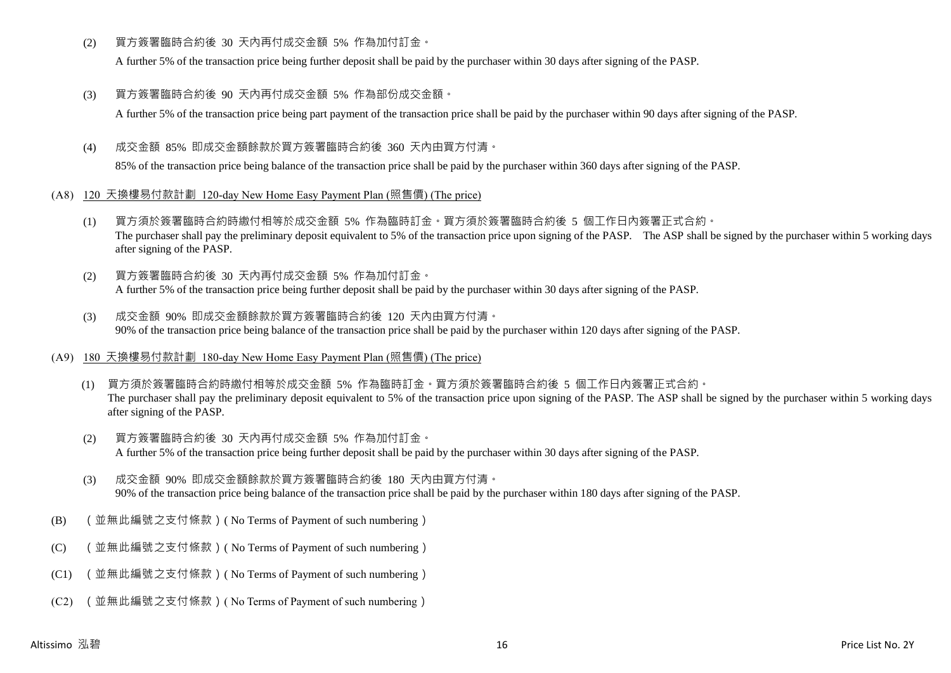(2) 買方簽署臨時合約後 30 天內再付成交金額 5% 作為加付訂金。

A further 5% of the transaction price being further deposit shall be paid by the purchaser within 30 days after signing of the PASP.

(3) 買方簽署臨時合約後 90 天內再付成交金額 5% 作為部份成交金額。

A further 5% of the transaction price being part payment of the transaction price shall be paid by the purchaser within 90 days after signing of the PASP.

(4) 成交金額 85% 即成交金額餘款於買方簽署臨時合約後 360 天內由買方付清。

85% of the transaction price being balance of the transaction price shall be paid by the purchaser within 360 days after signing of the PASP.

- (A8) 120 天換樓易付款計劃 120-day New Home Easy Payment Plan (照售價) (The price)
	- (1) 買方須於簽署臨時合約時繳付相等於成交金額 5% 作為臨時訂金。買方須於簽署臨時合約後 5 個工作日內簽署正式合約。 The purchaser shall pay the preliminary deposit equivalent to 5% of the transaction price upon signing of the PASP. The ASP shall be signed by the purchaser within 5 working days after signing of the PASP.
	- (2) 買方簽署臨時合約後 30 天內再付成交金額 5% 作為加付訂金。 A further 5% of the transaction price being further deposit shall be paid by the purchaser within 30 days after signing of the PASP.
	- (3) 成交金額 90% 即成交金額餘款於買方簽署臨時合約後 120 天內由買方付清。 90% of the transaction price being balance of the transaction price shall be paid by the purchaser within 120 days after signing of the PASP.
- (A9) 180 天換樓易付款計劃 180-day New Home Easy Payment Plan (照售價) (The price)
	- (1) 買方須於簽署臨時合約時繳付相等於成交金額 5% 作為臨時訂金。買方須於簽署臨時合約後 5 個工作日內簽署正式合約。 The purchaser shall pay the preliminary deposit equivalent to 5% of the transaction price upon signing of the PASP. The ASP shall be signed by the purchaser within 5 working days after signing of the PASP.
	- (2) 買方簽署臨時合約後 30 天內再付成交金額 5% 作為加付訂金。 A further 5% of the transaction price being further deposit shall be paid by the purchaser within 30 days after signing of the PASP.
	- (3) 成交金額 90% 即成交金額餘款於買方簽署臨時合約後 180 天內由買方付清。 90% of the transaction price being balance of the transaction price shall be paid by the purchaser within 180 days after signing of the PASP.
- (B) (並無此編號之支付條款)( No Terms of Payment of such numbering)
- (C) (並無此編號之支付條款)( No Terms of Payment of such numbering)
- (C1) (並無此編號之支付條款)( No Terms of Payment of such numbering)
- (C2) (並無此編號之支付條款)( No Terms of Payment of such numbering)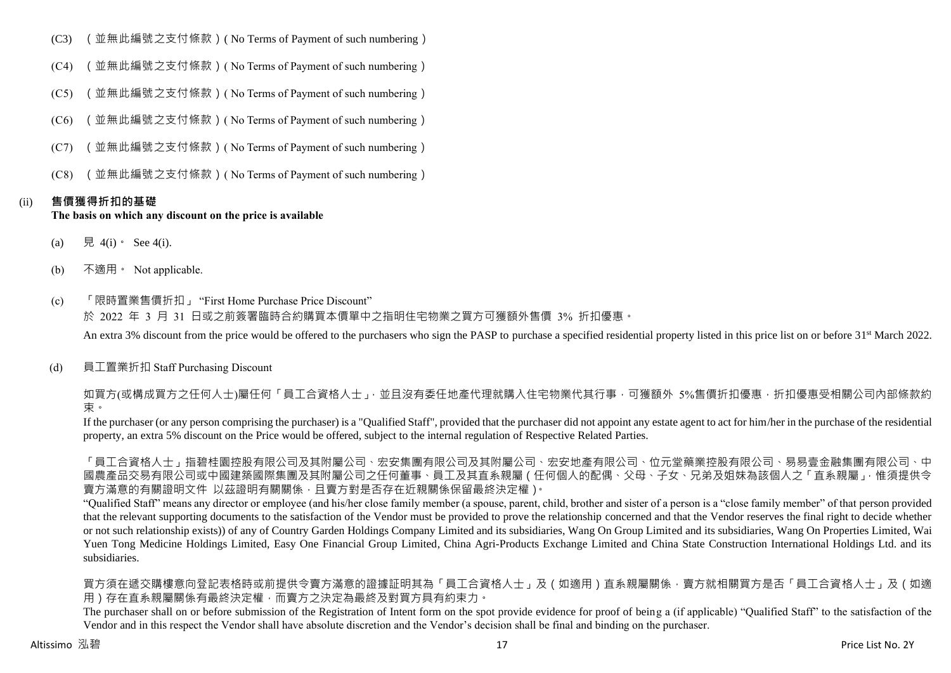- (C3) (並無此編號之支付條款)( No Terms of Payment of such numbering)
- (C4) (並無此編號之支付條款)( No Terms of Payment of such numbering)
- (C5) (並無此編號之支付條款)( No Terms of Payment of such numbering)
- (C6) (並無此編號之支付條款)( No Terms of Payment of such numbering)
- (C7) (並無此編號之支付條款)( No Terms of Payment of such numbering)
- (C8) (並無此編號之支付條款)( No Terms of Payment of such numbering)

### (ii) **售價獲得折扣的基礎**

### **The basis on which any discount on the price is available**

- (a) 見 4(i) See 4(i).
- (b) 不適用。 Not applicable.
- (c) 「限時置業售價折扣」 "First Home Purchase Price Discount" 於 2022 年 3 月 31 日或之前簽署臨時合約購買本價單中之指明住宅物業之買方可獲額外售價 3% 折扣優惠。 An extra 3% discount from the price would be offered to the purchasers who sign the PASP to purchase a specified residential property listed in this price list on or before 31<sup>st</sup> March 2022.
- (d) 員工置業折扣 Staff Purchasing Discount

如買方(或構成買方之任何人士)屬任何「員工合資格人士」,並且沒有委任地產代理就購入住宅物業代其行事,可獲額外 5%售價折扣優惠,折扣優惠受相關公司內部條款約 束。

If the purchaser (or any person comprising the purchaser) is a "Qualified Staff", provided that the purchaser did not appoint any estate agent to act for him/her in the purchase of the residential property, an extra 5% discount on the Price would be offered, subject to the internal regulation of Respective Related Parties.

「員工合資格人士」指碧桂園控股有限公司及其附屬公司、宏安集團有限公司及其附屬公司、宏安地產有限公司、位元堂藥業控股有限公司、易易壹金融集團有限公司、中 國農產品交易有限公司或中國建築國際集團及其附屬公司之任何董事、員工及其直系親屬(任何個人的配偶、父母、子女、兄弟及姐妹為該個人之「直系親屬」,惟須提供令 賣方滿意的有關證明文件 以茲證明有關關係,且賣方對是否存在近親關係保留最終決定權)。

"Qualified Staff" means any director or employee (and his/her close family member (a spouse, parent, child, brother and sister of a person is a "close family member" of that person provided that the relevant supporting documents to the satisfaction of the Vendor must be provided to prove the relationship concerned and that the Vendor reserves the final right to decide whether or not such relationship exists)) of any of Country Garden Holdings Company Limited and its subsidiaries, Wang On Group Limited and its subsidiaries, Wang On Properties Limited, Wai Yuen Tong Medicine Holdings Limited, Easy One Financial Group Limited, China Agri-Products Exchange Limited and China State Construction International Holdings Ltd. and its subsidiaries.

買方須在遞交購樓意向登記表格時或前提供令賣方滿意的證據証明其為「員工合資格人士」及(如適用)直系親屬關係,賣方就相關買方是否「員工合資格人士」及(如適 用)存在直系親屬關係有最終決定權,而賣方之決定為最終及對買方具有約束力。

The purchaser shall on or before submission of the Registration of Intent form on the spot provide evidence for proof of being a (if applicable) "Qualified Staff" to the satisfaction of the Vendor and in this respect the Vendor shall have absolute discretion and the Vendor's decision shall be final and binding on the purchaser.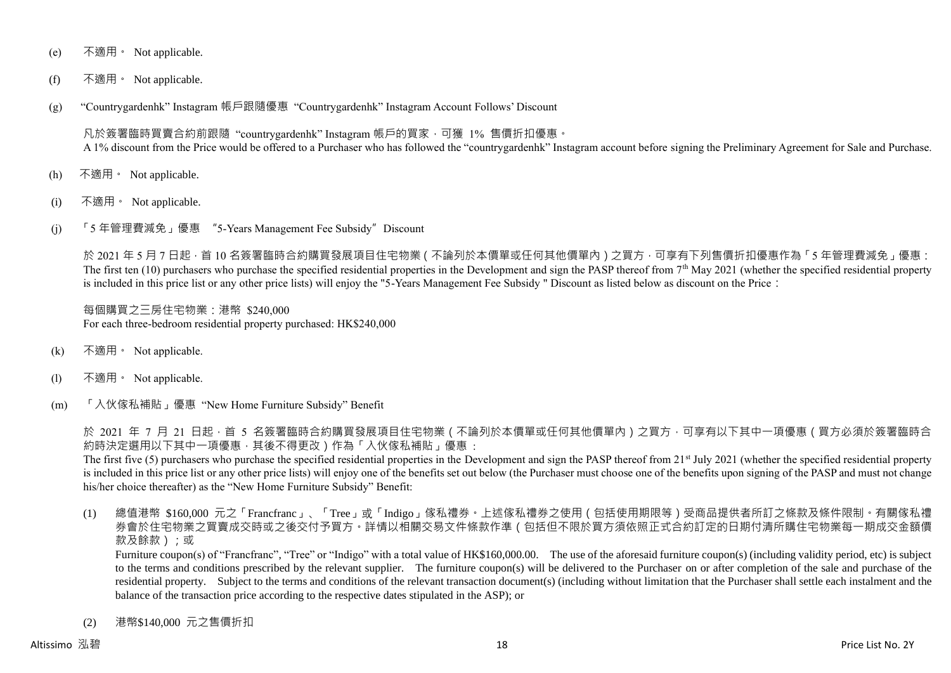- (e) 不適用。 Not applicable.
- (f) 不適用。 Not applicable.
- (g) "Countrygardenhk" Instagram 帳戶跟隨優惠 "Countrygardenhk" Instagram Account Follows' Discount

凡於簽署臨時買賣合約前跟隨 "countrygardenhk" Instagram 帳戶的買家,可獲 1% 售價折扣優惠。 A 1% discount from the Price would be offered to a Purchaser who has followed the "countrygardenhk" Instagram account before signing the Preliminary Agreement for Sale and Purchase.

- (h) 不適用。 Not applicable.
- (i) 不適用。 Not applicable.
- (j) 「5 年管理費減免」優惠 "5-Years Management Fee Subsidy"Discount

於 2021 年 5 月 7 日起 · 首 10 名簽署臨時合約購買發展項目住宅物業 ( 不論列於本價單或任何其他價單內 ) 之買方 · 可享有下列售價折扣優惠作為「5 年管理費減免」優惠: The first ten  $(10)$  purchasers who purchase the specified residential properties in the Development and sign the PASP thereof from  $7<sup>th</sup>$  May 2021 (whether the specified residential property is included in this price list or any other price lists) will enjoy the "5-Years Management Fee Subsidy " Discount as listed below as discount on the Price:

每個購買之三房住宅物業:港幣 \$240,000 For each three-bedroom residential property purchased: HK\$240,000

- (k) 不適用。 Not applicable.
- (l) 不適用。 Not applicable.
- (m) 「入伙傢私補貼」優惠 "New Home Furniture Subsidy" Benefit

於 2021 年 7 月 21 日起,首 5 名簽署臨時合約購買發展項目住宅物業 ( 不論列於本價單或任何其他價單內 ) 之買方,可享有以下其中一項優惠 ( 買方必須於簽署臨時合 約時決定選用以下其中一項優惠,其後不得更改)作為「入伙傢私補貼」優惠 :

The first five (5) purchasers who purchase the specified residential properties in the Development and sign the PASP thereof from  $21<sup>st</sup>$  July 2021 (whether the specified residential property is included in this price list or any other price lists) will enjoy one of the benefits set out below (the Purchaser must choose one of the benefits upon signing of the PASP and must not change his/her choice thereafter) as the "New Home Furniture Subsidy" Benefit:

(1) 總值港幣 \$160,000 元之「Francfranc」、「Tree」或「Indigo」傢私禮券。上述傢私禮券之使用(包括使用期限等)受商品提供者所訂之條款及條件限制。有關傢私禮 券會於住宅物業之買賣成交時或之後交付予買方。詳情以相關交易文件條款作準(包括但不限於買方須依照正式合約訂定的日期付清所購住宅物業每一期成交金額價 款及餘款);或

Furniture coupon(s) of "Francfranc", "Tree" or "Indigo" with a total value of HK\$160,000.00. The use of the aforesaid furniture coupon(s) (including validity period, etc) is subject to the terms and conditions prescribed by the relevant supplier. The furniture coupon(s) will be delivered to the Purchaser on or after completion of the sale and purchase of the residential property. Subject to the terms and conditions of the relevant transaction document(s) (including without limitation that the Purchaser shall settle each instalment and the balance of the transaction price according to the respective dates stipulated in the ASP); or

(2) 港幣\$140,000 元之售價折扣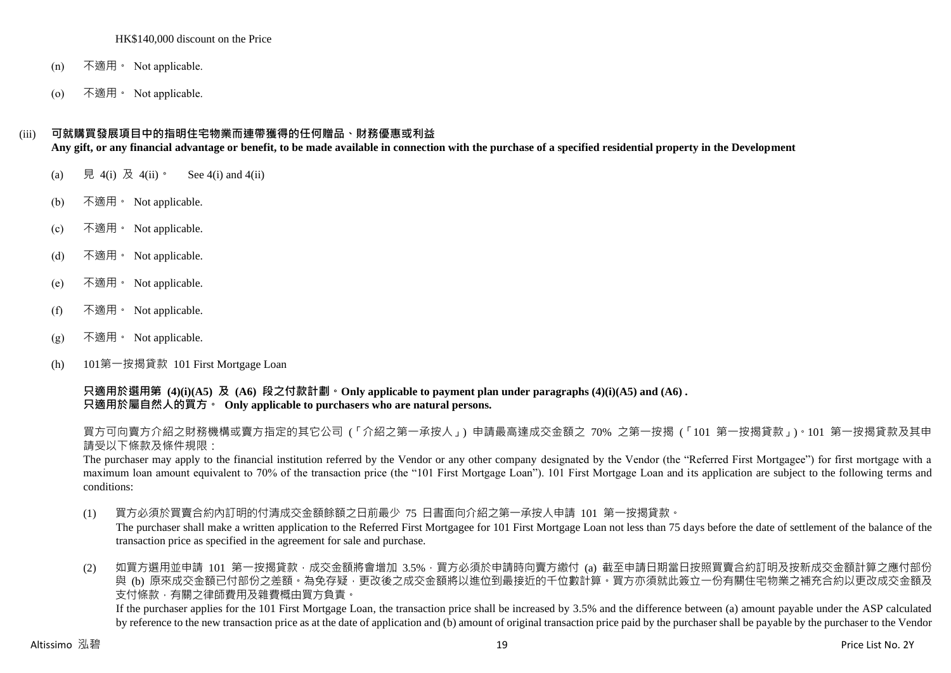#### HK\$140,000 discount on the Price

- (n) 不適用。 Not applicable.
- (o) 不適用。 Not applicable.

## (iii) **可就購買發展項目中的指明住宅物業而連帶獲得的任何贈品、財務優惠或利益**

**Any gift, or any financial advantage or benefit, to be made available in connection with the purchase of a specified residential property in the Development**

- (a) 見 4(i) 及 4(ii)。 See 4(i) and 4(ii)
- (b) 不適用。 Not applicable.
- (c) 不適用。 Not applicable.
- (d) 不適用。 Not applicable.
- (e) 不適用。 Not applicable.
- (f) 不適用 Not applicable.
- $(g)$  不適用 · Not applicable.
- (h) 101第一按揭貸款 101 First Mortgage Loan

**只適用於選用第 (4)(i)(A5) 及 (A6) 段之付款計劃。Only applicable to payment plan under paragraphs (4)(i)(A5) and (A6) . 只適用於屬自然人的買方。 Only applicable to purchasers who are natural persons.**

買方可向賣方介紹之財務機構或賣方指定的其它公司 (「介紹之第一承按人」) 申請最高達成交金額之 70% 之第一按揭 (「101 第一按揭貸款」)。101 第一按揭貸款及其申 請受以下條款及條件規限:

The purchaser may apply to the financial institution referred by the Vendor or any other company designated by the Vendor (the "Referred First Mortgagee") for first mortgage with a maximum loan amount equivalent to 70% of the transaction price (the "101 First Mortgage Loan"). 101 First Mortgage Loan and its application are subject to the following terms and conditions:

(1) 買方必須於買賣合約內訂明的付清成交金額餘額之日前最少 75 日書面向介紹之第一承按人申請 101 第一按揭貸款。

The purchaser shall make a written application to the Referred First Mortgagee for 101 First Mortgage Loan not less than 75 days before the date of settlement of the balance of the transaction price as specified in the agreement for sale and purchase.

(2) 如買方選用並申請 101 第一按揭貸款,成交金額將會增加 3.5%,買方必須於申請時向賣方繳付 (a) 截至申請日期當日按照買賣合約訂明及按新成交金額計算之應付部份 與 (b) 原來成交金額已付部份之差額。為免存疑,更改後之成交金額將以進位到最接近的千位數計算。買方亦須就此簽立一份有關住宅物業之補充合約以更改成交金額及 支付條款,有關之律師費用及雜費概由買方負責。

If the purchaser applies for the 101 First Mortgage Loan, the transaction price shall be increased by 3.5% and the difference between (a) amount payable under the ASP calculated by reference to the new transaction price as at the date of application and (b) amount of original transaction price paid by the purchaser shall be payable by the purchaser to the Vendor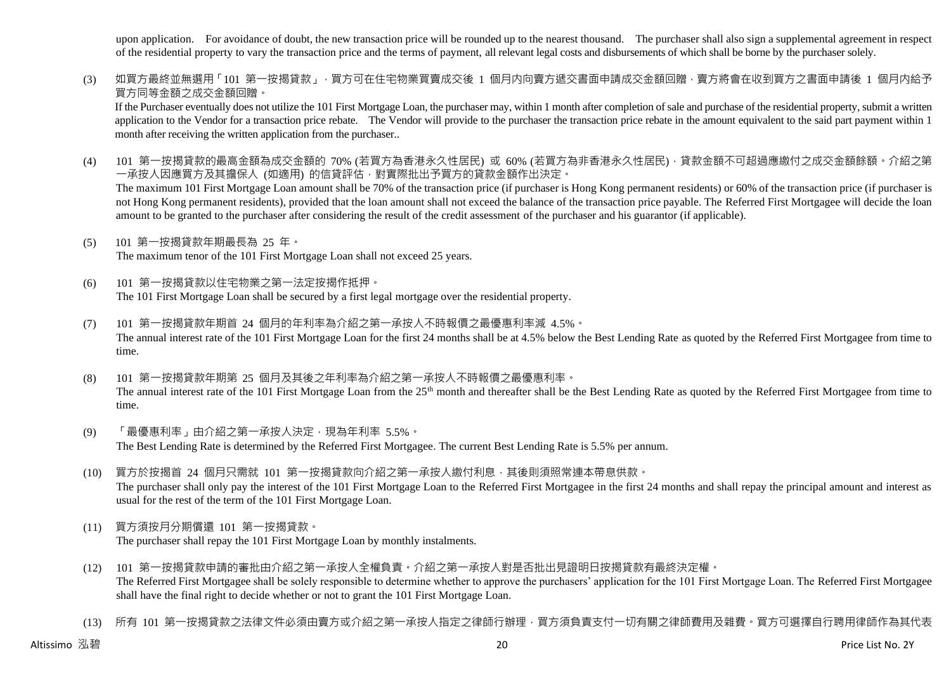upon application. For avoidance of doubt, the new transaction price will be rounded up to the nearest thousand. The purchaser shall also sign a supplemental agreement in respect of the residential property to vary the transaction price and the terms of payment, all relevant legal costs and disbursements of which shall be borne by the purchaser solely.

(3) 如買方最終並無選用「101 第一按揭貸款」,買方可在住宅物業買賣成交後 1 個月内向賣方遞交書面申請成交金額回贈,賣方將會在收到買方之書面申請後 1 個月内給予 買方同等金額之成交金額回贈。

If the Purchaser eventually does not utilize the 101 First Mortgage Loan, the purchaser may, within 1 month after completion of sale and purchase of the residential property, submit a written application to the Vendor for a transaction price rebate. The Vendor will provide to the purchaser the transaction price rebate in the amount equivalent to the said part payment within 1 month after receiving the written application from the purchaser..

(4) 101 第一按揭貸款的最高金額為成交金額的 70% (若買方為香港永久性居民) 或 60% (若買方為非香港永久性居民) · 貸款金額不可超過應繳付之成交金額餘額。介紹之第 一承按人因應買方及其擔保人 (如適用) 的信貸評估,對實際批出予買方的貸款金額作出決定。

The maximum 101 First Mortgage Loan amount shall be 70% of the transaction price (if purchaser is Hong Kong permanent residents) or 60% of the transaction price (if purchaser is not Hong Kong permanent residents), provided that the loan amount shall not exceed the balance of the transaction price payable. The Referred First Mortgagee will decide the loan amount to be granted to the purchaser after considering the result of the credit assessment of the purchaser and his guarantor (if applicable).

- (5) 101 第一按揭貸款年期最長為 25 年。 The maximum tenor of the 101 First Mortgage Loan shall not exceed 25 years.
- (6) 101 第一按揭貸款以住宅物業之第一法定按揭作抵押。 The 101 First Mortgage Loan shall be secured by a first legal mortgage over the residential property.
- (7) 101 第一按揭貸款年期首 24 個月的年利率為介紹之第一承按人不時報價之最優惠利率減 4.5%。 The annual interest rate of the 101 First Mortgage Loan for the first 24 months shall be at 4.5% below the Best Lending Rate as quoted by the Referred First Mortgagee from time to time.
- (8) 101 第一按揭貸款年期第 25 個月及其後之年利率為介紹之第一承按人不時報價之最優惠利率。 The annual interest rate of the 101 First Mortgage Loan from the 25<sup>th</sup> month and thereafter shall be the Best Lending Rate as quoted by the Referred First Mortgagee from time to time.
- (9) 「最優惠利率」由介紹之第一承按人決定,現為年利率 5.5%。 The Best Lending Rate is determined by the Referred First Mortgagee. The current Best Lending Rate is 5.5% per annum.
- (10) 買方於按揭首 24 個月只需就 101 第一按揭貸款向介紹之第一承按人繳付利息,其後則須照常連本帶息供款。 The purchaser shall only pay the interest of the 101 First Mortgage Loan to the Referred First Mortgagee in the first 24 months and shall repay the principal amount and interest as usual for the rest of the term of the 101 First Mortgage Loan.
- (11) 買方須按月分期償還 101 第一按揭貸款。 The purchaser shall repay the 101 First Mortgage Loan by monthly instalments.
- (12) 101 第一按揭貸款申請的審批由介紹之第一承按人全權負責。介紹之第一承按人對是否批出見證明日按揭貸款有最終決定權。 The Referred First Mortgagee shall be solely responsible to determine whether to approve the purchasers' application for the 101 First Mortgage Loan. The Referred First Mortgagee shall have the final right to decide whether or not to grant the 101 First Mortgage Loan.
- (13) 所有 101 第一按揭貸款之法律文件必須由賣方或介紹之第一承按人指定之律師行辦理,買方須負責支付一切有關之律師費用及雜費。買方可選擇自行聘用律師作為其代表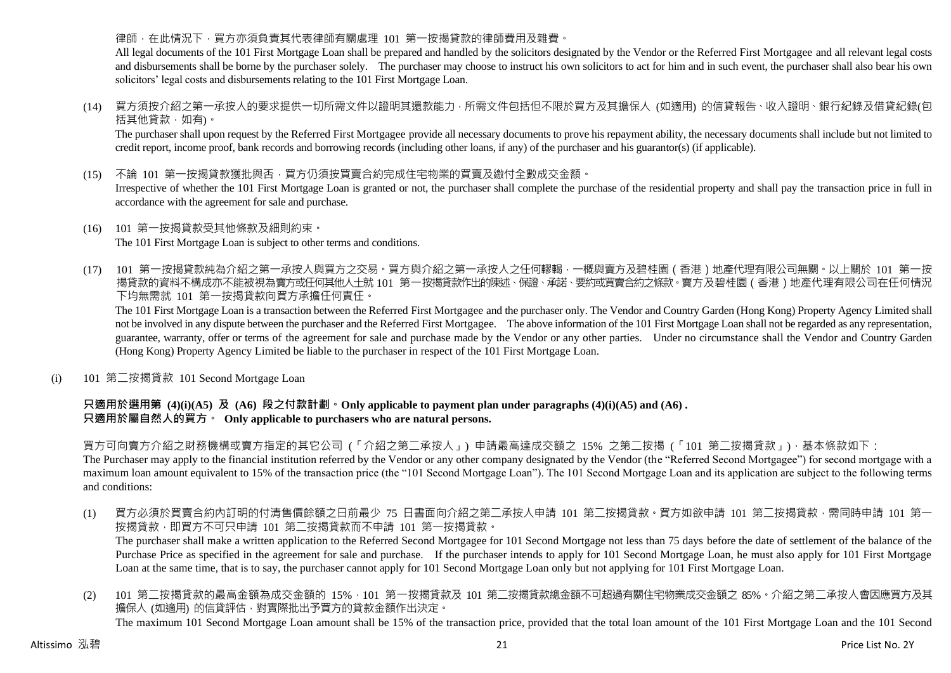### 律師,在此情況下,買方亦須負責其代表律師有關處理 101 第一按揭貸款的律師費用及雜費。

All legal documents of the 101 First Mortgage Loan shall be prepared and handled by the solicitors designated by the Vendor or the Referred First Mortgagee and all relevant legal costs and disbursements shall be borne by the purchaser solely. The purchaser may choose to instruct his own solicitors to act for him and in such event, the purchaser shall also bear his own solicitors' legal costs and disbursements relating to the 101 First Mortgage Loan.

(14) 買方須按介紹之第一承按人的要求提供一切所需文件以證明其還款能力,所需文件包括但不限於買方及其擔保人 (如適用) 的信貸報告、收入證明、銀行紀錄及借貸紀錄(包 括其他貸款,如有)。

The purchaser shall upon request by the Referred First Mortgagee provide all necessary documents to prove his repayment ability, the necessary documents shall include but not limited to credit report, income proof, bank records and borrowing records (including other loans, if any) of the purchaser and his guarantor(s) (if applicable).

(15) 不論 101 第一按揭貸款獲批與否,買方仍須按買賣合約完成住宅物業的買賣及繳付全數成交金額。

Irrespective of whether the 101 First Mortgage Loan is granted or not, the purchaser shall complete the purchase of the residential property and shall pay the transaction price in full in accordance with the agreement for sale and purchase.

- (16) 101 第一按揭貸款受其他條款及細則約束。 The 101 First Mortgage Loan is subject to other terms and conditions.
- (17) 101 第一按揭貸款純為介紹之第一承按人與買方之交易。買方與介紹之第一承按人之任何轇輵,一概與賣方及碧桂園(香港)地產代理有限公司無關。以上關於 101 第一按 揭貸款的資料不構成亦不能被視為賣方或任何其他人士就 101 第一按揭貸款作出的陳述、保證、承諾、要約或買賣合約之條款。賣方及碧桂園(香港)地產代理有限公司在任何情況 下均無需就 101 第一按揭貸款向買方承擔任何責任。

The 101 First Mortgage Loan is a transaction between the Referred First Mortgagee and the purchaser only. The Vendor and Country Garden (Hong Kong) Property Agency Limited shall not be involved in any dispute between the purchaser and the Referred First Mortgagee. The above information of the 101 First Mortgage Loan shall not be regarded as any representation, guarantee, warranty, offer or terms of the agreement for sale and purchase made by the Vendor or any other parties. Under no circumstance shall the Vendor and Country Garden (Hong Kong) Property Agency Limited be liable to the purchaser in respect of the 101 First Mortgage Loan.

(i) 101 第二按揭貸款 101 Second Mortgage Loan

### **只適用於選用第 (4)(i)(A5) 及 (A6) 段之付款計劃。Only applicable to payment plan under paragraphs (4)(i)(A5) and (A6) . 只適用於屬自然人的買方。 Only applicable to purchasers who are natural persons.**

買方可向賣方介紹之財務機構或賣方指定的其它公司 (「介紹之第二承按人」) 申請最高達成交額之 15% 之第二按揭 (「101 第二按揭貸款」),基本條款如下:

The Purchaser may apply to the financial institution referred by the Vendor or any other company designated by the Vendor (the "Referred Second Mortgagee") for second mortgage with a maximum loan amount equivalent to 15% of the transaction price (the "101 Second Mortgage Loan"). The 101 Second Mortgage Loan and its application are subject to the following terms and conditions:

(1) 買方必須於買賣合約內訂明的付清售價餘額之日前最少 75 日書面向介紹之第二承按人申請 101 第二按揭貸款。買方如欲申請 101 第二按揭貸款,需同時申請 101 第一 按揭貸款,即買方不可只申請 101 第二按揭貸款而不申請 101 第一按揭貸款。

The purchaser shall make a written application to the Referred Second Mortgagee for 101 Second Mortgage not less than 75 days before the date of settlement of the balance of the Purchase Price as specified in the agreement for sale and purchase. If the purchaser intends to apply for 101 Second Mortgage Loan, he must also apply for 101 First Mortgage Loan at the same time, that is to say, the purchaser cannot apply for 101 Second Mortgage Loan only but not applying for 101 First Mortgage Loan.

(2) 101 第二按揭貸款的最高金額為成交金額的 15%,101 第一按揭貸款及 101 第二按揭貸款總金額不可超過有關住宅物業成交金額之 85%。介紹之第二承按人會因應買方及其 擔保人 (如適用) 的信貸評估,對實際批出予買方的貸款金額作出決定。 The maximum 101 Second Mortgage Loan amount shall be 15% of the transaction price, provided that the total loan amount of the 101 First Mortgage Loan and the 101 Second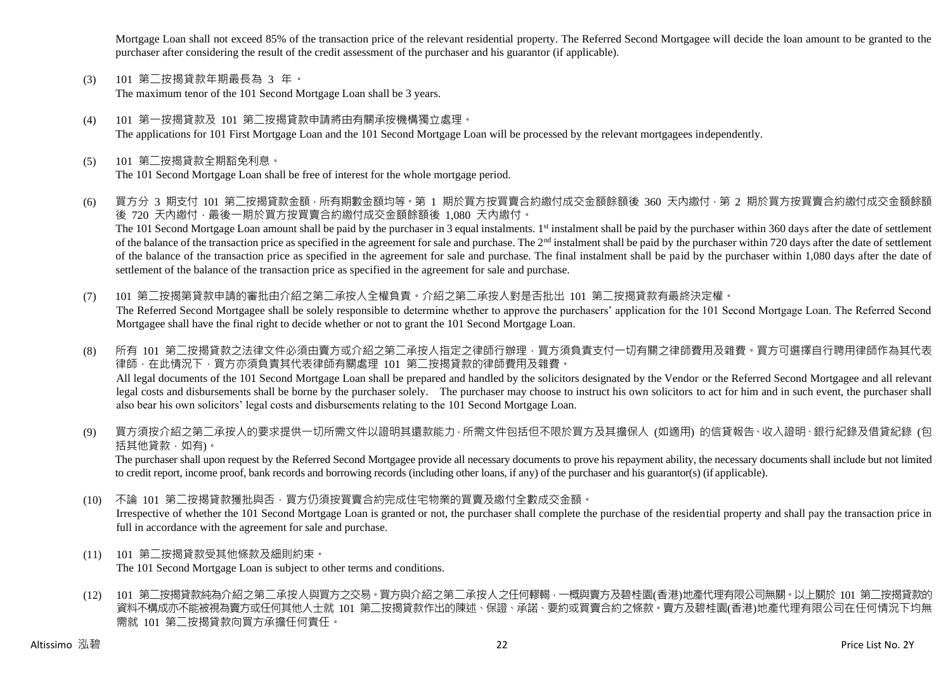Mortgage Loan shall not exceed 85% of the transaction price of the relevant residential property. The Referred Second Mortgagee will decide the loan amount to be granted to the purchaser after considering the result of the credit assessment of the purchaser and his guarantor (if applicable).

- (3) 101 第二按揭貸款年期最長為 3 年。 The maximum tenor of the 101 Second Mortgage Loan shall be 3 years.
- (4) 101 第一按揭貸款及 101 第二按揭貸款申請將由有關承按機構獨立處理。 The applications for 101 First Mortgage Loan and the 101 Second Mortgage Loan will be processed by the relevant mortgagees independently.
- (5) 101 第二按揭貸款全期豁免利息。 The 101 Second Mortgage Loan shall be free of interest for the whole mortgage period.
- (6) 買方分 3 期支付 101 第二按揭貸款金額,所有期數金額均等。第 1 期於買方按買賣合約繳付成交金額餘額後 360 天內繳付,第 2 期於買方按買賣合約繳付成交金額餘額 後 720 天內繳付,最後一期於買方按買賣合約繳付成交金額餘額後 1,080 天內繳付。 The 101 Second Mortgage Loan amount shall be paid by the purchaser in 3 equal instalments. 1<sup>st</sup> instalment shall be paid by the purchaser within 360 days after the date of settlement of the balance of the transaction price as specified in the agreement for sale and purchase. The 2<sup>nd</sup> instalment shall be paid by the purchaser within 720 days after the date of settlement of the balance of the transaction price as specified in the agreement for sale and purchase. The final instalment shall be paid by the purchaser within 1,080 days after the date of settlement of the balance of the transaction price as specified in the agreement for sale and purchase.
- (7) 101 第二按揭第貸款申請的審批由介紹之第二承按人全權負責。介紹之第二承按人對是否批出 101 第二按揭貸款有最終決定權。 The Referred Second Mortgagee shall be solely responsible to determine whether to approve the purchasers' application for the 101 Second Mortgage Loan. The Referred Second Mortgagee shall have the final right to decide whether or not to grant the 101 Second Mortgage Loan.
- (8) 所有 101 第二按揭貸款之法律文件必須由賣方或介紹之第二承按人指定之律師行辦理,買方須負責支付一切有關之律師費用及雜費。買方可選擇自行聘用律師作為其代表 律師,在此情況下,買方亦須負責其代表律師有關處理 101 第二按揭貸款的律師費用及雜費。 All legal documents of the 101 Second Mortgage Loan shall be prepared and handled by the solicitors designated by the Vendor or the Referred Second Mortgagee and all relevant legal costs and disbursements shall be borne by the purchaser solely. The purchaser may choose to instruct his own solicitors to act for him and in such event, the purchaser shall also bear his own solicitors' legal costs and disbursements relating to the 101 Second Mortgage Loan.
- (9) 買方須按介紹之第二承按人的要求提供一切所需文件以證明其還款能力,所需文件包括但不限於買方及其擔保人 (如適用) 的信貸報告、收入證明、銀行紀錄及借貸紀錄 (包 括其他貸款,如有)。

The purchaser shall upon request by the Referred Second Mortgagee provide all necessary documents to prove his repayment ability, the necessary documents shall include but not limited to credit report, income proof, bank records and borrowing records (including other loans, if any) of the purchaser and his guarantor(s) (if applicable).

- (10) 不論 101 第二按揭貸款獲批與否,買方仍須按買賣合約完成住宅物業的買賣及繳付全數成交金額。 Irrespective of whether the 101 Second Mortgage Loan is granted or not, the purchaser shall complete the purchase of the residential property and shall pay the transaction price in full in accordance with the agreement for sale and purchase.
- (11) 101 第二按揭貸款受其他條款及細則約束。

The 101 Second Mortgage Loan is subject to other terms and conditions.

(12) 101 第二按揭貸款純為介紹之第二承按人與買方之交易。買方與介紹之第二承按人之任何轇輵,一概與賣方及碧桂園(香港)地產代理有限公司無關。以上關於 101 第二按揭貸款的 資料不構成亦不能被視為賣方或任何其他人士就 101 第二按揭貸款作出的陳述、保證、承諾、要約或買賣合約之條款。賣方及碧桂園(香港)地產代理有限公司在任何情況下均無 需就 101 第二按揭貸款向買方承擔任何責任。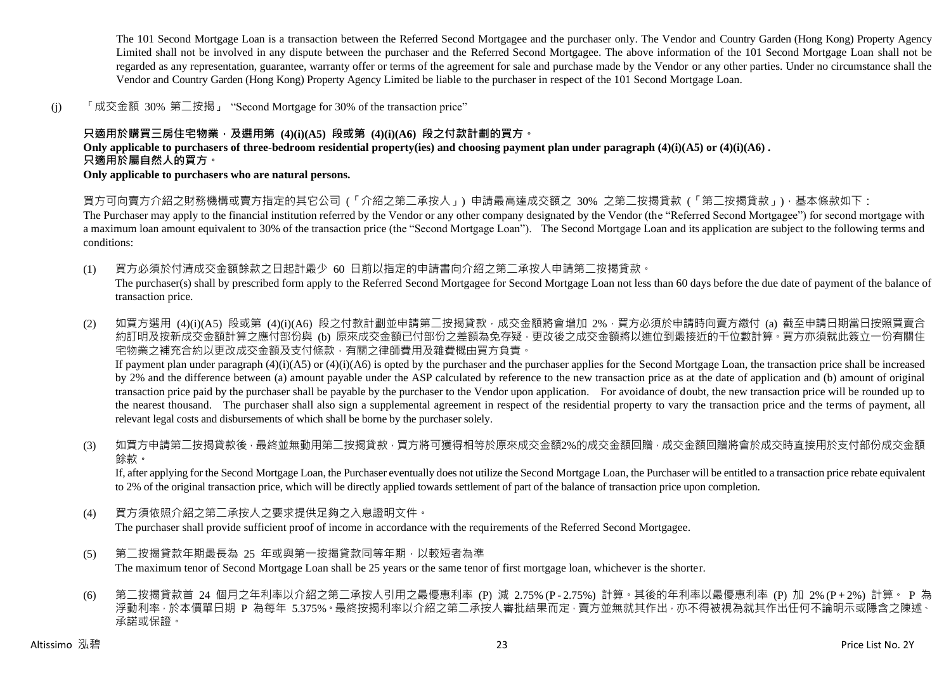The 101 Second Mortgage Loan is a transaction between the Referred Second Mortgagee and the purchaser only. The Vendor and Country Garden (Hong Kong) Property Agency Limited shall not be involved in any dispute between the purchaser and the Referred Second Mortgagee. The above information of the 101 Second Mortgage Loan shall not be regarded as any representation, guarantee, warranty offer or terms of the agreement for sale and purchase made by the Vendor or any other parties. Under no circumstance shall the Vendor and Country Garden (Hong Kong) Property Agency Limited be liable to the purchaser in respect of the 101 Second Mortgage Loan.

(j) 「成交金額 30% 第二按揭」 "Second Mortgage for 30% of the transaction price"

### **只適用於購買三房住宅物業,及選用第 (4)(i)(A5) 段或第 (4)(i)(A6) 段之付款計劃的買方。**

**Only applicable to purchasers of three-bedroom residential property(ies) and choosing payment plan under paragraph (4)(i)(A5) or (4)(i)(A6) .**

## **只適用於屬自然人的買方。**

**Only applicable to purchasers who are natural persons.**

買方可向賣方介紹之財務機構或賣方指定的其它公司 (「介紹之第二承按人」) 申請最高達成交額之 30% 之第二按揭貸款 (「第二按揭貸款」),基本條款如下:

The Purchaser may apply to the financial institution referred by the Vendor or any other company designated by the Vendor (the "Referred Second Mortgagee") for second mortgage with a maximum loan amount equivalent to 30% of the transaction price (the "Second Mortgage Loan"). The Second Mortgage Loan and its application are subject to the following terms and conditions:

- (1) 買方必須於付清成交金額餘款之日起計最少 60 日前以指定的申請書向介紹之第二承按人申請第二按揭貸款。 The purchaser(s) shall by prescribed form apply to the Referred Second Mortgagee for Second Mortgage Loan not less than 60 days before the due date of payment of the balance of transaction price.
- (2) 如買方選用 (4)(i)(A5) 段或第 (4)(i)(A6) 段之付款計劃並申請第二按揭貸款,成交金額將會增加 2%,買方必須於申請時向賣方繳付 (a) 截至申請日期當日按照買賣合 約訂明及按新成交金額計算之應付部份與 (b) 原來成交金額已付部份之差額為免存疑,更改後之成交金額將以進位到最接近的千位數計算。買方亦須就此簽立一份有關住 宅物業之補充合約以更改成交金額及支付條款,有關之律師費用及雜費概由買方負責。 If payment plan under paragraph  $(4)(i)(A5)$  or  $(4)(i)(A6)$  is opted by the purchaser and the purchaser applies for the Second Mortgage Loan, the transaction price shall be increased by 2% and the difference between (a) amount payable under the ASP calculated by reference to the new transaction price as at the date of application and (b) amount of original transaction price paid by the purchaser shall be payable by the purchaser to the Vendor upon application. For avoidance of doubt, the new transaction price will be rounded up to the nearest thousand. The purchaser shall also sign a supplemental agreement in respect of the residential property to vary the transaction price and the terms of payment, all relevant legal costs and disbursements of which shall be borne by the purchaser solely.
- (3) 如買方申請第二按揭貸款後,最終並無動用第二按揭貸款,買方將可獲得相等於原來成交金額2%的成交金額回贈,成交金額回贈將會於成交時直接用於支付部份成交金額 餘款。

If, after applying for the Second Mortgage Loan, the Purchaser eventually does not utilize the Second Mortgage Loan, the Purchaser will be entitled to a transaction price rebate equivalent to 2% of the original transaction price, which will be directly applied towards settlement of part of the balance of transaction price upon completion.

(4) 買方須依照介紹之第二承按人之要求提供足夠之入息證明文件。

The purchaser shall provide sufficient proof of income in accordance with the requirements of the Referred Second Mortgagee.

- (5) 第二按揭貸款年期最長為 25 年或與第一按揭貸款同等年期,以較短者為準 The maximum tenor of Second Mortgage Loan shall be 25 years or the same tenor of first mortgage loan, whichever is the shorter.
- (6) 第二按揭貸款首 24 個月之年利率以介紹之第二承按人引用之最優惠利率 (P) 減 2.75% (P 2.75%) 計算。其後的年利率以最優惠利率 (P) 加 2% (P + 2%) 計算。 P 為 浮動利率,於本價單日期 P 為每年 5.375%。最終按揭利率以介紹之第二承按人審批結果而定,賣方並無就其作出,亦不得被視為就其作出任何不論明示或隱含之陳述、 承諾或保證。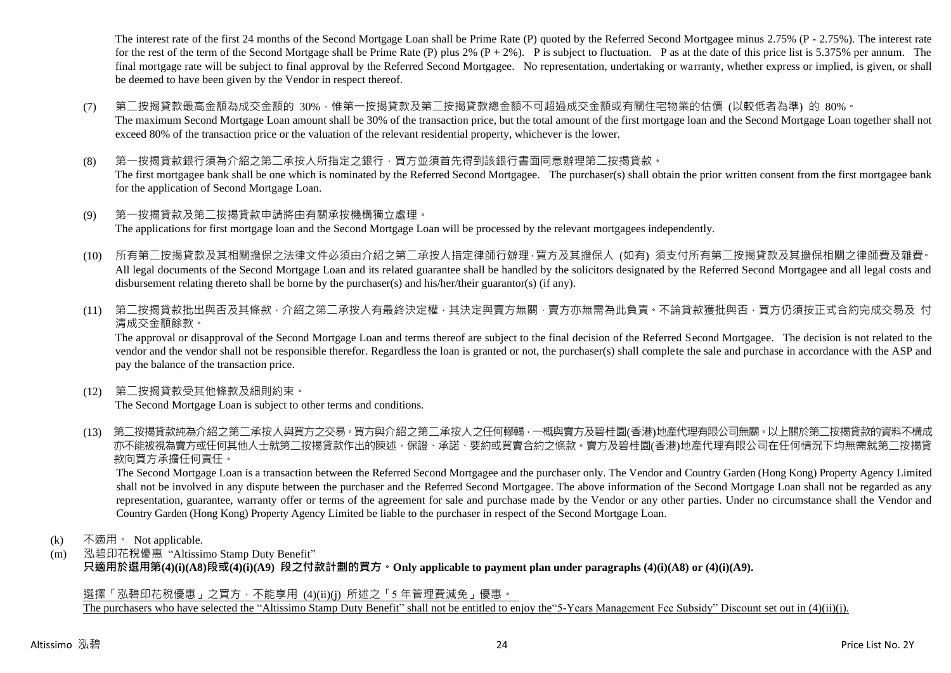The interest rate of the first 24 months of the Second Mortgage Loan shall be Prime Rate (P) quoted by the Referred Second Mortgagee minus 2.75% (P - 2.75%). The interest rate for the rest of the term of the Second Mortgage shall be Prime Rate (P) plus 2%  $(P + 2\%)$ . P is subject to fluctuation. P as at the date of this price list is 5.375% per annum. The final mortgage rate will be subject to final approval by the Referred Second Mortgagee. No representation, undertaking or warranty, whether express or implied, is given, or shall be deemed to have been given by the Vendor in respect thereof.

- (7) 第二按揭貸款最高金額為成交金額的 30%,惟第一按揭貸款及第二按揭貸款總金額不可超過成交金額或有關住宅物業的估價 (以較低者為準) 的 80%。 The maximum Second Mortgage Loan amount shall be 30% of the transaction price, but the total amount of the first mortgage loan and the Second Mortgage Loan together shall not exceed 80% of the transaction price or the valuation of the relevant residential property, whichever is the lower.
- (8) 第一按揭貸款銀行須為介紹之第二承按人所指定之銀行,買方並須首先得到該銀行書面同意辦理第二按揭貸款。 The first mortgagee bank shall be one which is nominated by the Referred Second Mortgagee. The purchaser(s) shall obtain the prior written consent from the first mortgagee bank for the application of Second Mortgage Loan.
- (9) 第一按揭貸款及第二按揭貸款申請將由有關承按機構獨立處理。 The applications for first mortgage loan and the Second Mortgage Loan will be processed by the relevant mortgagees independently.
- (10) 所有第二按揭貸款及其相關擔保之法律文件必須由介紹之第二承按人指定律師行辦理,買方及其擔保人 (如有) 須支付所有第二按揭貸款及其擔保相關之律師費及雜費。 All legal documents of the Second Mortgage Loan and its related guarantee shall be handled by the solicitors designated by the Referred Second Mortgagee and all legal costs and disbursement relating thereto shall be borne by the purchaser(s) and his/her/their guarantor(s) (if any).
- (11) 第二按揭貸款批出與否及其條款,介紹之第二承按人有最終決定權,其決定與賣方無關,賣方亦無需為此負責。不論貸款獲批與否,買方仍須按正式合約完成交易及 付 清成交金額餘款。

The approval or disapproval of the Second Mortgage Loan and terms thereof are subject to the final decision of the Referred Second Mortgagee. The decision is not related to the vendor and the vendor shall not be responsible therefor. Regardless the loan is granted or not, the purchaser(s) shall complete the sale and purchase in accordance with the ASP and pay the balance of the transaction price.

(12) 第二按揭貸款受其他條款及細則約束。

The Second Mortgage Loan is subject to other terms and conditions.

(13) 第二按揭貸款純為介紹之第二承按人與買方之交易。買方與介紹之第二承按人之任何轇輵,一概與賣方及碧桂園(香港)地產代理有限公司無關。以上關於第二按揭貸款的資料不構成 亦不能被視為賣方或任何其他人士就第二按揭貸款作出的陳述、保證、承諾、要約或買賣合約之條款。賣方及碧桂園(香港)地產代理有限公司在任何情況下均無需就第二按揭貸 款向買方承擔任何責任。

The Second Mortgage Loan is a transaction between the Referred Second Mortgagee and the purchaser only. The Vendor and Country Garden (Hong Kong) Property Agency Limited shall not be involved in any dispute between the purchaser and the Referred Second Mortgagee. The above information of the Second Mortgage Loan shall not be regarded as any representation, guarantee, warranty offer or terms of the agreement for sale and purchase made by the Vendor or any other parties. Under no circumstance shall the Vendor and Country Garden (Hong Kong) Property Agency Limited be liable to the purchaser in respect of the Second Mortgage Loan.

- (k) 不適用。 Not applicable.
- (m) 泓碧印花稅優惠 "Altissimo Stamp Duty Benefit" **只適用於選用第(4)(i)(A8)段或(4)(i)(A9) 段之付款計劃的買方。Only applicable to payment plan under paragraphs (4)(i)(A8) or (4)(i)(A9).**

選擇「泓碧印花稅優惠」之買方,不能享用 (4)(ii)(i) 所述之「5 年管理費減免」優惠。

The purchasers who have selected the "Altissimo Stamp Duty Benefit" shall not be entitled to enjoy the"5-Years Management Fee Subsidy" Discount set out in (4)(ii)(j).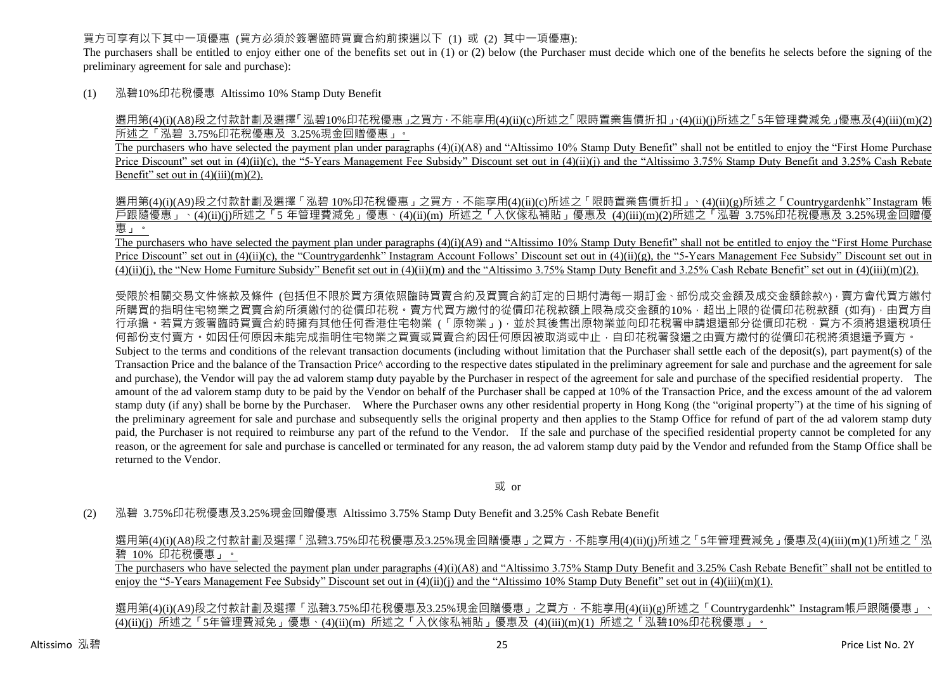#### 買方可享有以下其中一項優惠 (買方必須於簽署臨時買賣合約前揀選以下 (1) 或 (2) 其中一項優惠):

The purchasers shall be entitled to enjoy either one of the benefits set out in (1) or (2) below (the Purchaser must decide which one of the benefits he selects before the signing of the preliminary agreement for sale and purchase):

(1) 泓碧10%印花稅優惠 Altissimo 10% Stamp Duty Benefit

選用第(4)(i)(A8)段之付款計劃及選擇「泓碧10%印花稅優惠」之買方,不能享用(4)(ii)(c)所述之「限時置業售價折扣」、(4)(ii)(j)所述之「5年管理費減免」優惠及(4)(iii)(m)(2) 所述之「泓碧 3.75%印花稅優惠及 3.25%現金回贈優惠」。

The purchasers who have selected the payment plan under paragraphs (4)(i)(A8) and "Altissimo 10% Stamp Duty Benefit" shall not be entitled to enjoy the "First Home Purchase" Price Discount" set out in (4)(ii)(c), the "5-Years Management Fee Subsidy" Discount set out in (4)(ii)(j) and the "Altissimo 3.75% Stamp Duty Benefit and 3.25% Cash Rebate Benefit" set out in  $(4)(iii)(m)(2)$ .

選用第(4)(i)(A9)段之付款計劃及選擇「泓碧 10%印花稅優惠」之買方,不能享用(4)(ii)(c)所述之「限時置業售價折扣」、(4)(ii)(g)所述之「Countrygardenhk" Instagram 帳 戶跟隨優惠」、(4)(ii)(j)所述之「5 年管理費減免」優惠、(4)(ii)(m) 所述之「入伙傢私補貼」優惠及 (4)(iii)(m)(2)所述之「泓碧 3.75%印花稅優惠及 3.25%現金回贈優 惠」。

The purchasers who have selected the payment plan under paragraphs (4)(i)(A9) and "Altissimo 10% Stamp Duty Benefit" shall not be entitled to enjoy the "First Home Purchase Price Discount" set out in (4)(ii)(c), the "Countrygardenhk" Instagram Account Follows' Discount set out in (4)(ii)(g), the "5-Years Management Fee Subsidy" Discount set out in  $(4)(ii)(j)$ , the "New Home Furniture Subsidy" Benefit set out in  $(4)(ii)(m)$  and the "Altissimo 3.75% Stamp Duty Benefit and 3.25% Cash Rebate Benefit" set out in  $(4)(iii)(m)(2)$ .

受限於相關交易文件條款及條件 (包括但不限於買方須依照臨時買賣合約及買賣合約訂定的日期付清每一期訂金、部份成交金額及成交金額餘款^),賣方會代買方繳付 所購買的指明住宅物業之買賣合約所須繳付的從價印花稅。賣方代買方繳付的從價印花稅款額上限為成交金額的10%,超出上限的從價印花稅款額 (如有),由買方自 行承擔。若買方簽署臨時買賣合約時擁有其他任何香港住宅物業 (「原物業」) · 並於其後售出原物業並向印花稅署申請退還部分從價印花稅 · 買方不須將退還稅項任 何部份支付賣方。如因任何原因未能完成指明住宅物業之買賣或買賣合約因任何原因被取消或中止,自印花稅署發還之由賣方繳付的從價印花稅將須退還予賣方。 Subject to the terms and conditions of the relevant transaction documents (including without limitation that the Purchaser shall settle each of the deposit(s), part payment(s) of the Transaction Price and the balance of the Transaction Price<sup> $\wedge$ </sup> according to the respective dates stipulated in the preliminary agreement for sale and purchase and the agreement for sale and purchase), the Vendor will pay the ad valorem stamp duty payable by the Purchaser in respect of the agreement for sale and purchase of the specified residential property. The amount of the ad valorem stamp duty to be paid by the Vendor on behalf of the Purchaser shall be capped at 10% of the Transaction Price, and the excess amount of the ad valorem stamp duty (if any) shall be borne by the Purchaser. Where the Purchaser owns any other residential property in Hong Kong (the "original property") at the time of his signing of the preliminary agreement for sale and purchase and subsequently sells the original property and then applies to the Stamp Office for refund of part of the ad valorem stamp duty paid, the Purchaser is not required to reimburse any part of the refund to the Vendor. If the sale and purchase of the specified residential property cannot be completed for any reason, or the agreement for sale and purchase is cancelled or terminated for any reason, the ad valorem stamp duty paid by the Vendor and refunded from the Stamp Office shall be returned to the Vendor.

或 or

(2) 泓碧 3.75%印花稅優惠及3.25%現金回贈優惠 Altissimo 3.75% Stamp Duty Benefit and 3.25% Cash Rebate Benefit

選用第(4)(i)(A8)段之付款計劃及選擇「泓碧3.75%印花稅優惠及3.25%現金回贈優惠」之買方,不能享用(4)(ii)(j)所述之「5年管理費減免」優惠及(4)(iii)(m)(1)所述之「泓 碧 10% 印花稅優惠」。

The purchasers who have selected the payment plan under paragraphs (4)(i)(A8) and "Altissimo 3.75% Stamp Duty Benefit and 3.25% Cash Rebate Benefit" shall not be entitled to enjoy the "5-Years Management Fee Subsidy" Discount set out in  $(4)(ii)(j)$  and the "Altissimo 10% Stamp Duty Benefit" set out in  $(4)(iii)(m)(1)$ .

選用第(4)(i)(A9)段之付款計劃及選擇「泓碧3.75%印花稅優惠及3.25%現金回贈優惠」之買方,不能享用(4)(ii)(g)所述之「Countrygardenhk"Instagram帳戶跟隨優惠」、 (4)(ii)(j) 所述之「5年管理費減免」優惠、(4)(ii)(m) 所述之「入伙傢私補貼」優惠及 (4)(iii)(m)(1) 所述之「泓碧10%印花稅優惠」。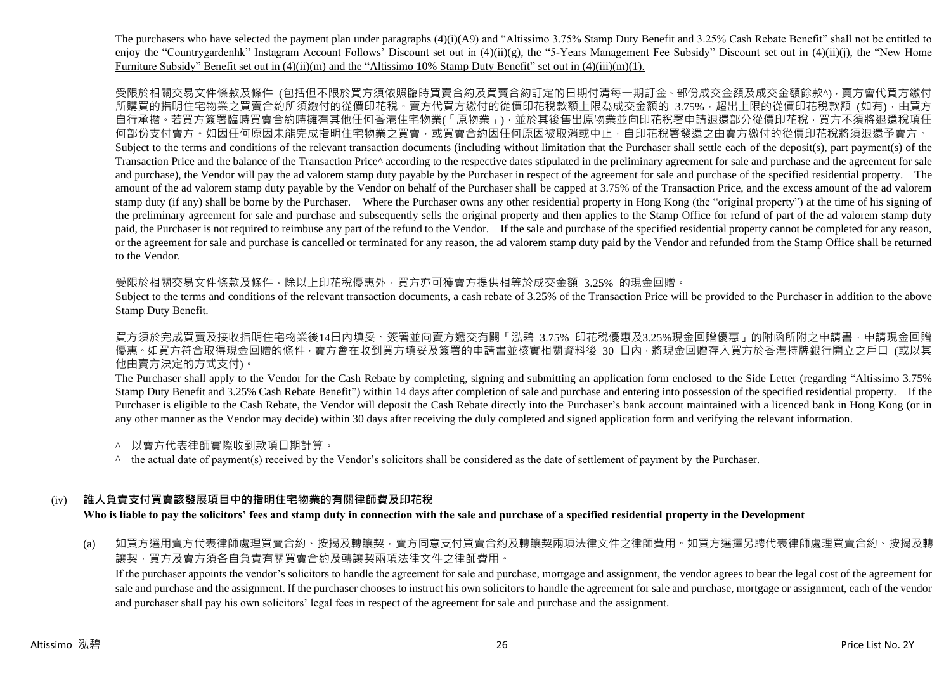The purchasers who have selected the payment plan under paragraphs (4)(i)(A9) and "Altissimo 3.75% Stamp Duty Benefit and 3.25% Cash Rebate Benefit" shall not be entitled to enjoy the "Countrygardenhk" Instagram Account Follows' Discount set out in  $(4)(ii)(g)$ , the "5-Years Management Fee Subsidy" Discount set out in  $(4)(ii)(i)$ , the "New Home" Furniture Subsidy" Benefit set out in (4)(ii)(m) and the "Altissimo 10% Stamp Duty Benefit" set out in (4)(iii)(m)(1).

受限於相關交易文件條款及條件 (包括但不限於買方須依照臨時買賣合約及買賣合約訂定的日期付清每一期訂金、部份成交金額及成交金額餘款^),賣方會代買方繳付 所購買的指明住宅物業之買賣合約所須繳付的從價印花稅。賣方代買方繳付的從價印花稅款額上限為成交金額的 3.75%,超出上限的從價印花稅款額 (如有),由買方 自行承擔。若買方簽署臨時買賣合約時擁有其他任何香港住宅物業(「原物業」),並於其後售出原物業並向印花稅署申請退還部分從價印花稅,買方不須將退還稅項任 何部份支付賣方。如因任何原因未能完成指明住宅物業之買賣,或買賣合約因任何原因被取消或中止,自印花稅署發還之由賣方繳付的從價印花稅將須退還予賣方。 Subject to the terms and conditions of the relevant transaction documents (including without limitation that the Purchaser shall settle each of the deposit(s), part payment(s) of the Transaction Price and the balance of the Transaction Price^ according to the respective dates stipulated in the preliminary agreement for sale and purchase and the agreement for sale and purchase), the Vendor will pay the ad valorem stamp duty payable by the Purchaser in respect of the agreement for sale and purchase of the specified residential property. The amount of the ad valorem stamp duty payable by the Vendor on behalf of the Purchaser shall be capped at 3.75% of the Transaction Price, and the excess amount of the ad valorem stamp duty (if any) shall be borne by the Purchaser. Where the Purchaser owns any other residential property in Hong Kong (the "original property") at the time of his signing of the preliminary agreement for sale and purchase and subsequently sells the original property and then applies to the Stamp Office for refund of part of the ad valorem stamp duty paid, the Purchaser is not required to reimbuse any part of the refund to the Vendor. If the sale and purchase of the specified residential property cannot be completed for any reason, or the agreement for sale and purchase is cancelled or terminated for any reason, the ad valorem stamp duty paid by the Vendor and refunded from the Stamp Office shall be returned to the Vendor.

受限於相關交易文件條款及條件,除以上印花稅優惠外,買方亦可獲賣方提供相等於成交金額 3.25% 的現金回贈。

Subject to the terms and conditions of the relevant transaction documents, a cash rebate of 3.25% of the Transaction Price will be provided to the Purchaser in addition to the above Stamp Duty Benefit.

買方須於完成買賣及接收指明住宅物業後14日內填妥、簽署並向賣方遞交有關「泓碧 3.75% 印花稅優惠及3.25%現金回贈優惠」的附函所附之申請書,申請現金回贈 優惠 • 如買方符合取得現金回贈的條件 • 賣方會在收到買方填妥及簽署的申請書並核實相關資料後 30 日内 • 將現金回贈存入買方於香港持牌銀行開立之戶口 (或以其 他由賣方決定的方式支付)。

The Purchaser shall apply to the Vendor for the Cash Rebate by completing, signing and submitting an application form enclosed to the Side Letter (regarding "Altissimo 3.75% Stamp Duty Benefit and 3.25% Cash Rebate Benefit") within 14 days after completion of sale and purchase and entering into possession of the specified residential property. If the Purchaser is eligible to the Cash Rebate, the Vendor will deposit the Cash Rebate directly into the Purchaser's bank account maintained with a licenced bank in Hong Kong (or in any other manner as the Vendor may decide) within 30 days after receiving the duly completed and signed application form and verifying the relevant information.

- ^ 以賣方代表律師實際收到款項日期計算。
- $\land$  the actual date of payment(s) received by the Vendor's solicitors shall be considered as the date of settlement of payment by the Purchaser.

# (iv) **誰人負責支付買賣該發展項目中的指明住宅物業的有關律師費及印花稅**

**Who is liable to pay the solicitors' fees and stamp duty in connection with the sale and purchase of a specified residential property in the Development**

(a) 如買方選用賣方代表律師處理買賣合約、按揭及轉讓契,賣方同意支付買賣合約及轉讓契兩項法律文件之律師費用。如買方選擇另聘代表律師處理買賣合約、按揭及轉 讓契,買方及賣方須各自負責有關買賣合約及轉讓契兩項法律文件之律師費用。

If the purchaser appoints the vendor's solicitors to handle the agreement for sale and purchase, mortgage and assignment, the vendor agrees to bear the legal cost of the agreement for sale and purchase and the assignment. If the purchaser chooses to instruct his own solicitors to handle the agreement for sale and purchase, mortgage or assignment, each of the vendor and purchaser shall pay his own solicitors' legal fees in respect of the agreement for sale and purchase and the assignment.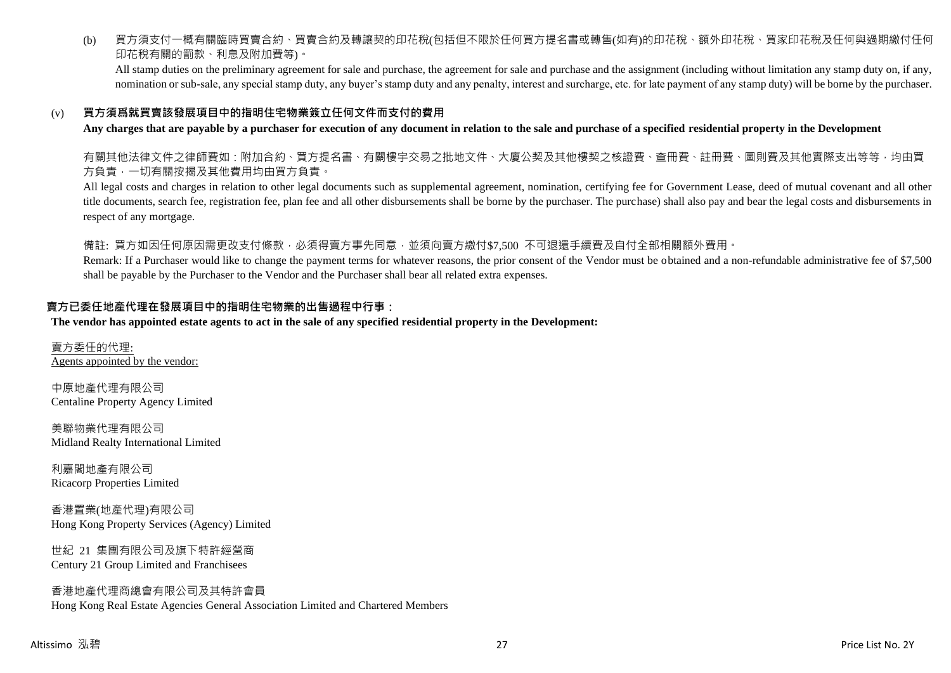(b) 買方須支付一概有關臨時買賣合約、買賣合約及轉讓契的印花稅(包括但不限於任何買方提名書或轉售(如有)的印花稅、額外印花稅、買家印花稅及任何與過期繳付任何 印花稅有關的罰款、利息及附加費等)。

All stamp duties on the preliminary agreement for sale and purchase, the agreement for sale and purchase and the assignment (including without limitation any stamp duty on, if any, nomination or sub-sale, any special stamp duty, any buyer's stamp duty and any penalty, interest and surcharge, etc. for late payment of any stamp duty) will be borne by the purchaser.

### (v) **買方須爲就買賣該發展項目中的指明住宅物業簽立任何文件而支付的費用**

**Any charges that are payable by a purchaser for execution of any document in relation to the sale and purchase of a specified residential property in the Development**

有關其他法律文件之律師費如:附加合約、買方提名書、有關樓宇交易之批地文件、大廈公契及其他樓契之核證費、查冊費、註冊費、圖則費及其他實際支出等等,均由買 方負責,一切有關按揭及其他費用均由買方負責。

All legal costs and charges in relation to other legal documents such as supplemental agreement, nomination, certifying fee for Government Lease, deed of mutual covenant and all other title documents, search fee, registration fee, plan fee and all other disbursements shall be borne by the purchaser. The purchase) shall also pay and bear the legal costs and disbursements in respect of any mortgage.

備註: 買方如因任何原因需更改支付條款,必須得賣方事先同意,並須向賣方繳付\$7,500 不可退還手續費及自付全部相關額外費用。

Remark: If a Purchaser would like to change the payment terms for whatever reasons, the prior consent of the Vendor must be obtained and a non-refundable administrative fee of \$7,500 shall be payable by the Purchaser to the Vendor and the Purchaser shall bear all related extra expenses.

### **賣方已委任地產代理在發展項目中的指明住宅物業的出售過程中行事:**

**The vendor has appointed estate agents to act in the sale of any specified residential property in the Development:**

賣方委任的代理: Agents appointed by the vendor:

中原地產代理有限公司 Centaline Property Agency Limited

美聯物業代理有限公司 Midland Realty International Limited

利嘉閣地產有限公司 Ricacorp Properties Limited

香港置業(地產代理)有限公司 Hong Kong Property Services (Agency) Limited

世紀 21 集團有限公司及旗下特許經營商 Century 21 Group Limited and Franchisees

香港地產代理商總會有限公司及其特許會員 Hong Kong Real Estate Agencies General Association Limited and Chartered Members